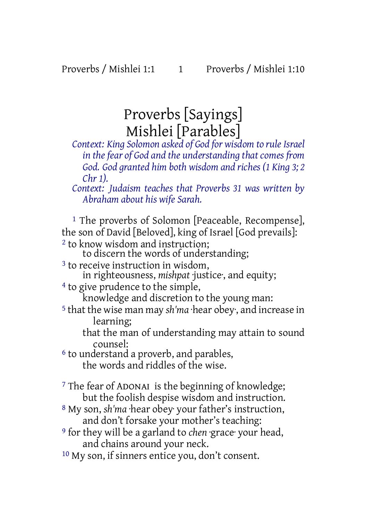# Proverbs [Sayings] Mishlei [Parables]

*Context: King Solomon asked of God for wisdom to ruleIsrael in the fear of God and the understanding that comes from God. God granted him both wisdom and riches (1 King 3; 2 Chr 1).*

*Context: Judaism teaches that Proverbs 31 was written by Abraham about his wife Sarah.*

<sup>1</sup> The proverbs of Solomon [Peaceable, Recompense], the son of David [Beloved], king of Israel [God prevails]:

2 to know wisdom and instruction;

to discern the words of understanding;

3 to receive instruction in wisdom,

in righteousness, *mishpat* ·justice·, and equity;

4 to give prudence to the simple,

knowledge and discretion to the young man:

5 that the wise man may *sh'ma* ·hear obey·, and increase in learning;

that the man of understanding may attain to sound counsel:

6 to understand a proverb, and parables, the words and riddles of the wise.

7 The fear of ADONAI is the beginning of knowledge; but the foolish despise wisdom and instruction.

- 8 My son, *sh'ma* ·hear obey· your father's instruction, and don't forsake your mother's teaching:
- 9 for they will be a garland to *chen* ·grace· your head, and chains around your neck.
- 10 My son, if sinners entice you, don't consent.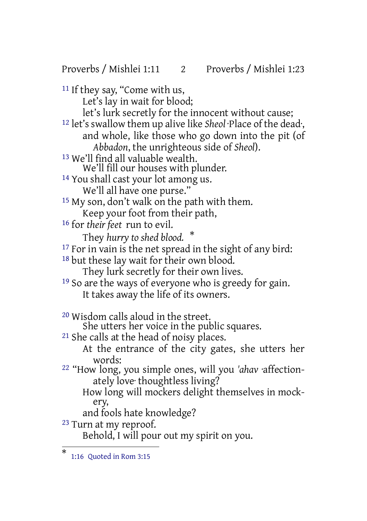Proverbs / Mishlei 1:11 2 Proverbs / Mishlei 1:23

11 If they say, "Come with us, Let's lay in wait for blood; let's lurk secretly for the innocent without cause; 12 let's swallow them up alive like *Sheol* ·Place of the dead·, and whole, like those who go down into the pit (of *Abbadon*, the unrighteous side of *Sheol*). 13 We'll find all valuable wealth. We'll fill our houses with plunder. 14 You shall cast your lot among us. We'll all have one purse." <sup>15</sup> My son, don't walk on the path with them. Keep your foot from their path, 16 for *their feet* run to evil. They *hurry to shed blood.* \* <sup>17</sup> For in vain is the net spread in the sight of any bird: 18 but these lay wait for their own blood. They lurk secretly for their own lives. 19 So are the ways of everyone who is greedy for gain. It takes away the life of its owners. 20 Wisdom calls aloud in the street. She utters her voice in the public squares. 21 She calls at the head of noisy places. At the entrance of the city gates, she utters her words: 22 "How long, you simple ones, will you *'ahav* ·affectionately love· thoughtless living? How long will mockers delight themselves in mockery, and fools hate knowledge? 23 Turn at my reproof. Behold, I will pour out my spirit on you.

<sup>\*</sup> 1:16 Quoted in Rom 3:15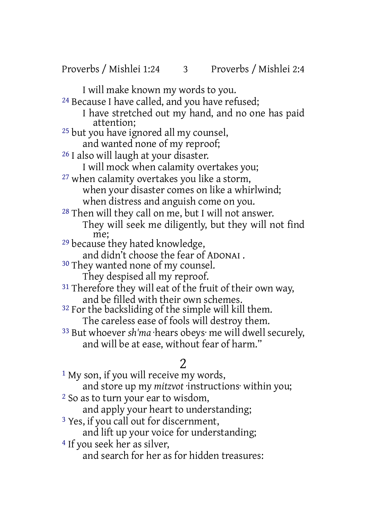Proverbs / Mishlei 1:24 3 Proverbs / Mishlei 2:4

I will make known my words to you. <sup>24</sup> Because I have called, and you have refused; I have stretched out my hand, and no one has paid attention; 25 but you have ignored all my counsel, and wanted none of my reproof; 26 I also will laugh at your disaster. I will mock when calamity overtakes you; 27 when calamity overtakes you like a storm, when your disaster comes on like a whirlwind; when distress and anguish come on you. 28 Then will they call on me, but I will not answer. They will seek me diligently, but they will not find me; <sup>29</sup> because they hated knowledge, and didn't choose the fear of ADONAI . 30 They wanted none of my counsel. They despised all my reproof. <sup>31</sup> Therefore they will eat of the fruit of their own way, and be filled with their own schemes. <sup>32</sup> For the backsliding of the simple will kill them. The careless ease of fools will destroy them. 33 But whoever *sh'ma* ·hears obeys· me will dwell securely, and will be at ease, without fear of harm."  $\overline{\mathcal{L}}$ <sup>1</sup> My son, if you will receive my words, and store up my *mitzvot* ·instructions· within you;

2 So as to turn your ear to wisdom,

and apply your heart to understanding;

3 Yes, if you call out for discernment,

and lift up your voice for understanding;

4 If you seek her as silver,

and search for her as for hidden treasures: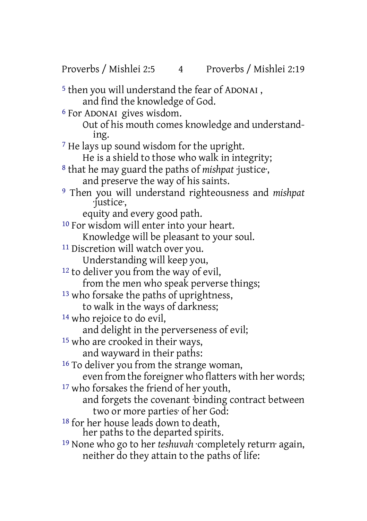5 then you will understand the fear of ADONAI , and find the knowledge of God. 6 For ADONAI gives wisdom. Out of his mouth comes knowledge and understanding. 7 He lays up sound wisdom for the upright. He is a shield to those who walk in integrity; 8 that he may guard the paths of *mishpat* ·justice·, and preserve the way of his saints. 9 Then you will understand righteousness and *mishpat* ·justice·, equity and every good path. 10 For wisdom will enter into your heart. Knowledge will be pleasant to your soul. 11 Discretion will watch over you. Understanding will keep you, <sup>12</sup> to deliver you from the way of evil, from the men who speak perverse things; 13 who forsake the paths of uprightness, to walk in the ways of darkness; 14 who rejoice to do evil, and delight in the perverseness of evil; 15 who are crooked in their ways, and wayward in their paths: <sup>16</sup> To deliver you from the strange woman, even from the foreigner who flatters with her words; <sup>17</sup> who forsakes the friend of her youth, and forgets the covenant ·binding contract between two or more parties· of her God: 18 for her house leads down to death, her paths to the departed spirits. 19 None who go to her *teshuvah* ·completely return· again, neither do they attain to the paths of life: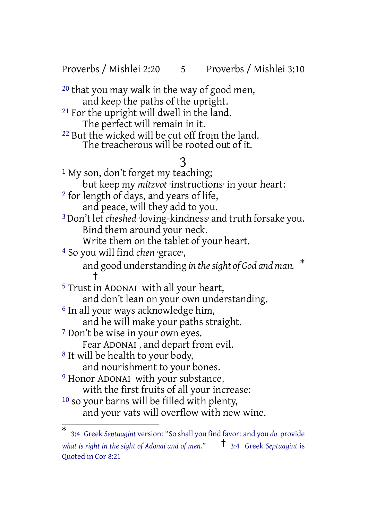Proverbs / Mishlei 2:20 5 Proverbs / Mishlei 3:10

20 that you may walk in the way of good men, and keep the paths of the upright. 21 For the upright will dwell in the land. The perfect will remain in it. 22 But the wicked will be cut off from the land. The treacherous will be rooted out of it.

#### 3

<sup>1</sup> My son, don't forget my teaching; but keep my *mitzvot* ·instructions· in your heart: 2 for length of days, and years of life, and peace, will they add to you. 3 Don't let*cheshed* ·loving-kindness· and truth forsake you. Bind them around your neck. Write them on the tablet of your heart. 4 So you will find *chen* ·grace·, and good understanding *in thesight of God and man.* \* † 5 Trust in ADONAI with all your heart, and don't lean on your own understanding. 6 In all your ways acknowledge him, and he will make your paths straight. 7 Don't be wise in your own eyes. Fear ADONAI , and depart from evil. 8 It will be health to your body, and nourishment to your bones. 9 Honor ADONAI with your substance, with the first fruits of all your increase: 10 so your barns will be filled with plenty, and your vats will overflow with new wine.

<sup>\*</sup> 3:4 Greek *Septuagint* version: "So shall you find favor: and you *do* provide *what is right in the sight of Adonai and of men."* † 3:4 Greek *Septuagint* is Quoted in Cor 8:21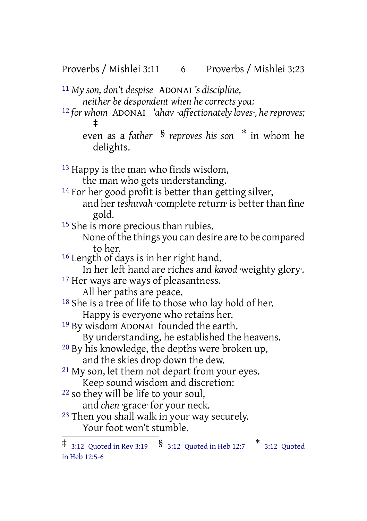Proverbs / Mishlei 3:11 6 Proverbs / Mishlei 3:23

11 *My son, don't despise* ADONAI *'s discipline, neither be despondent when he corrects you:* 12 *for whom* ADONAI *'ahav ·affectionately loves·, hereproves;* ‡

even as a *father* § *reproves his son* \* in whom he delights.

13 Happy is the man who finds wisdom, the man who gets understanding. 14 For her good profit is better than getting silver, and her *teshuvah* complete return is better than fine gold. <sup>15</sup> She is more precious than rubies. None ofthe things you can desire are to be compared to her. 16 Length of days is in her right hand. In her left hand are riches and *kavod* ·weighty glory·. <sup>17</sup> Her ways are ways of pleasantness. All her paths are peace. 18 She is a tree of life to those who lay hold of her. Happy is everyone who retains her. 19 By wisdom ADONAI founded the earth. By understanding, he established the heavens. 20 By his knowledge, the depths were broken up, and the skies drop down the dew. 21 My son, let them not depart from your eyes. Keep sound wisdom and discretion: 22 so they will be life to your soul,

- and *chen* ·grace· for your neck.
- 23 Then you shall walk in your way securely. Your foot won't stumble.

 $\ddagger$  3:12 Quoted in Rev 3:19  $\,$   $\frac{\pi}{3}$  3:12 Quoted in Heb 12:7  $\,$   $\frac{\pi}{3}$  3:12 Quoted in Heb 12:5-6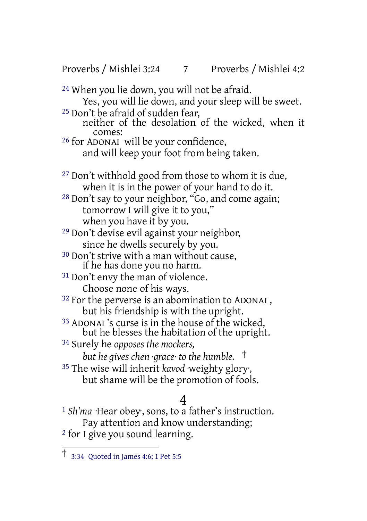Proverbs / Mishlei 3:24 7 Proverbs / Mishlei 4:2

24 When you lie down, you will not be afraid.

Yes, you will lie down, and your sleep will be sweet.

25 Don't be afraid of sudden fear, neither of the desolation of the wicked, when it comes:

26 for ADONAI will be your confidence, and will keep your foot from being taken.

27 Don't withhold good from those to whom it is due, when it is in the power of your hand to do it.

28 Don't say to your neighbor, "Go, and come again; tomorrow I will give it to you," when you have it by you.

29 Don't devise evil against your neighbor, since he dwells securely by you.

30 Don't strive with a man without cause, if he has done you no harm.

<sup>31</sup> Don't envy the man of violence.

Choose none of his ways.

<sup>32</sup> For the perverse is an abomination to ADONAI, but his friendship is with the upright.

33 ADONAI 's curse is in the house of the wicked, but he blesses the habitation of the upright.

34 Surely he *opposes the mockers,*

*but he gives chen ·grace· to the humble.* †

35 The wise will inherit *kavod* ·weighty glory·, but shame will be the promotion of fools.

#### 4

1 *Sh'ma* ·Hear obey·, sons, to a father's instruction. Pay attention and know understanding; 2 for I give you sound learning.

<sup>†</sup> 3:34 Quoted in James 4:6; <sup>1</sup> Pet 5:5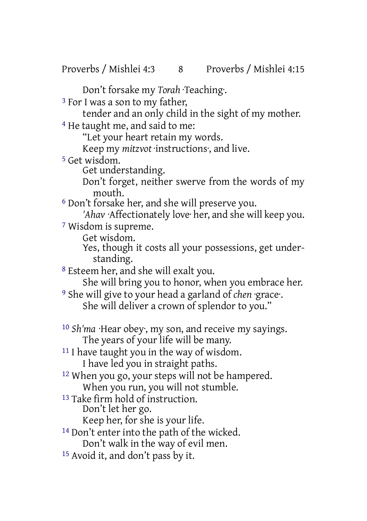Proverbs / Mishlei 4:3 8 Proverbs / Mishlei 4:15

Don't forsake my *Torah* ·Teaching·.

3 For I was a son to my father,

tender and an only child in the sight of my mother.

4 He taught me, and said to me:

"Let your heart retain my words.

Keep my *mitzvot* ·instructions·, and live.

5 Get wisdom.

Get understanding.

Don't forget, neither swerve from the words of my mouth.

6 Don't forsake her, and she will preserve you.

*'Ahav* ·Affectionately love· her, and she will keep you.

7 Wisdom is supreme.

Get wisdom.

Yes, though it costs all your possessions, get understanding.

8 Esteem her, and she will exalt you.

She will bring you to honor, when you embrace her.

- 9 She will give to your head a garland of *chen* ·grace·. She will deliver a crown of splendor to you."
- 10 *Sh'ma* ·Hear obey·, my son, and receive my sayings. The years of your life will be many.

<sup>11</sup> I have taught you in the way of wisdom. I have led you in straight paths.

12 When you go, your steps will not be hampered. When you run, you will not stumble.

13 Take firm hold of instruction.

Don't let her go.

Keep her, for she is your life.

14 Don't enter into the path of the wicked. Don't walk in the way of evil men.

15 Avoid it, and don't pass by it.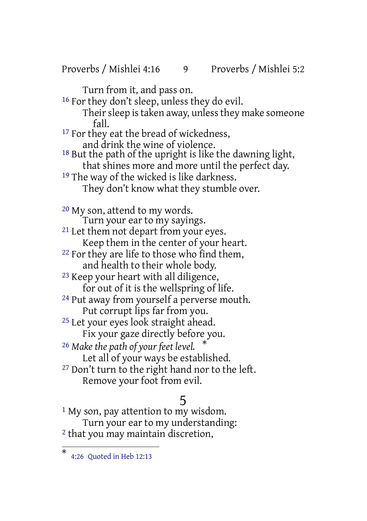Proverbs / Mishlei 4:16 9 Proverbs / Mishlei 5:2

Turn from it, and pass on.

16 For they don't sleep, unless they do evil. Their sleep is taken away, unless they make someone fall.

<sup>17</sup> For they eat the bread of wickedness, and drink the wine of violence.

18 But the path of the upright is like the dawning light, that shines more and more until the perfect day.

<sup>19</sup> The way of the wicked is like darkness. They don't know what they stumble over.

20 My son, attend to my words. Turn your ear to my sayings. 21 Let them not depart from your eyes. Keep them in the center of your heart. <sup>22</sup> For they are life to those who find them, and health to their whole body. 23 Keep your heart with all diligence, for out of it is the wellspring of life. <sup>24</sup> Put away from yourself a perverse mouth. Put corrupt lips far from you. <sup>25</sup> Let your eyes look straight ahead. Fix your gaze directly before you. <sup>26</sup> *Make the path of your feet level.* \* Let all of your ways be established. 27 Don't turn to the right hand nor to the left. Remove your foot from evil.

#### 5

<sup>1</sup> My son, pay attention to my wisdom. Turn your ear to my understanding: 2 that you may maintain discretion,

<sup>\*</sup> 4:26 Quoted in Heb 12:13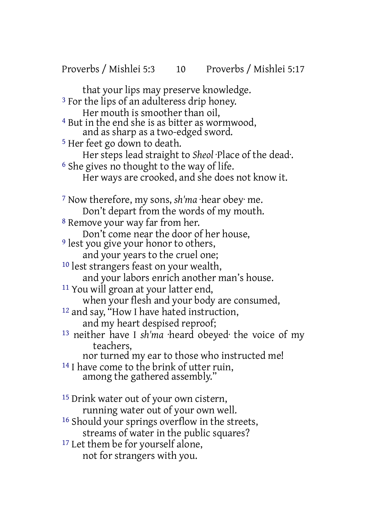that your lips may preserve knowledge. <sup>3</sup> For the lips of an adulteress drip honey. Her mouth is smoother than oil, 4 But in the end she is as bitter as wormwood, and as sharp as a two-edged sword. 5 Her feet go down to death. Her steps lead straight to *Sheol* ·Place of the dead·. <sup>6</sup> She gives no thought to the way of life. Her ways are crooked, and she does not know it. 7 Now therefore, my sons, *sh'ma* ·hear obey· me. Don't depart from the words of my mouth. 8 Remove your way far from her. Don't come near the door of her house, <sup>9</sup> lest you give your honor to others, and your years to the cruel one; 10 lest strangers feast on your wealth, and your labors enrich another man's house. 11 You will groan at your latter end, when your flesh and your body are consumed, 12 and say, "How I have hated instruction, and my heart despised reproof; 13 neither have I *sh'ma* ·heard obeyed· the voice of my teachers, nor turned my ear to those who instructed me! <sup>14</sup> I have come to the brink of utter ruin, among the gathered assembly." 15 Drink water out of your own cistern, running water out of your own well. 16 Should your springs overflow in the streets, streams of water in the public squares? <sup>17</sup> Let them be for yourself alone, not for strangers with you.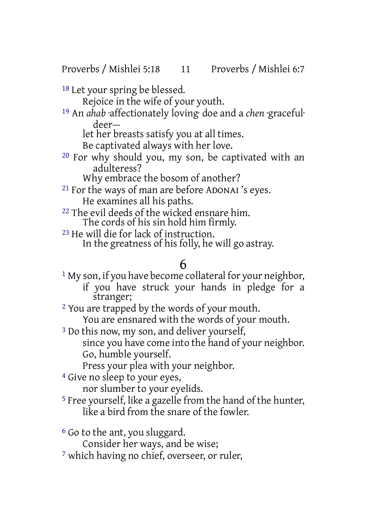Proverbs / Mishlei 5:18 11 Proverbs / Mishlei 6:7

18 Let your spring be blessed.

Rejoice in the wife of your youth.

19 An *ahab* ·affectionately loving· doe and a *chen* ·graceful· deer—

let her breasts satisfy you at all times.

Be captivated always with her love.

20 For why should you, my son, be captivated with an adulteress?

Why embrace the bosom of another?

21 For the ways of man are before ADONAI 's eyes. He examines all his paths.

<sup>22</sup> The evil deeds of the wicked ensnare him. The cords of his sin hold him firmly.

23 He will die for lack of instruction.

In the greatness of his folly, he will go astray.

## 6

<sup>1</sup> My son, if you have become collateral for your neighbor, if you have struck your hands in pledge for a stranger;

2 You are trapped by the words of your mouth. You are ensnared with the words of your mouth.

<sup>3</sup> Do this now, my son, and deliver yourself, since you have come into the hand of your neighbor. Go, humble yourself.

Press your plea with your neighbor.

4 Give no sleep to your eyes,

nor slumber to your eyelids.

5 Free yourself, like a gazelle from the hand of the hunter, like a bird from the snare of the fowler.

6 Go to the ant, you sluggard.

Consider her ways, and be wise;

7 which having no chief, overseer, or ruler,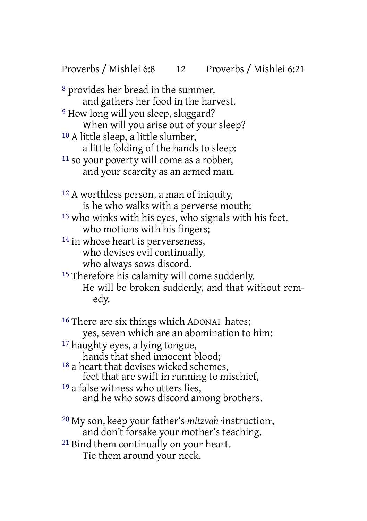Proverbs / Mishlei 6:8 12 Proverbs / Mishlei 6:21

8 provides her bread in the summer, and gathers her food in the harvest. <sup>9</sup> How long will you sleep, sluggard? When will you arise out of your sleep? 10 A little sleep, a little slumber, a little folding of the hands to sleep:  $11$  so your poverty will come as a robber, and your scarcity as an armed man. 12 A worthless person, a man of iniquity, is he who walks with a perverse mouth; 13 who winks with his eyes, who signals with his feet, who motions with his fingers; <sup>14</sup> in whose heart is perverseness, who devises evil continually, who always sows discord.

<sup>15</sup> Therefore his calamity will come suddenly. He will be broken suddenly, and that without remedy.

- 16 There are six things which ADONAI hates; yes, seven which are an abomination to him:
- 17 haughty eyes, a lying tongue,
	- hands that shed innocent blood;
- 18 a heart that devises wicked schemes, feet that are swift in running to mischief,
- 19 a false witness who utters lies, and he who sows discord among brothers.

20 My son, keep your father's *mitzvah* ·instruction·, and don't forsake your mother's teaching.

21 Bind them continually on your heart. Tie them around your neck.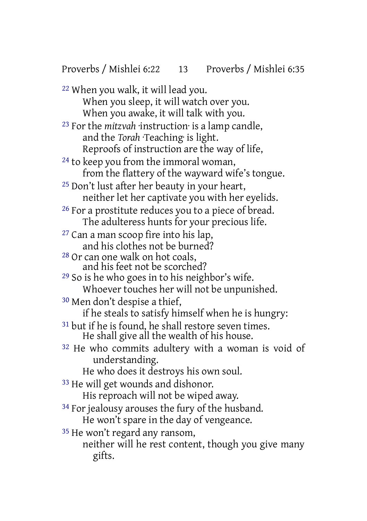Proverbs / Mishlei 6:22 13 Proverbs / Mishlei 6:35

22 When you walk, it will lead you. When you sleep, it will watch over you. When you awake, it will talk with you. 23 For the *mitzvah* ·instruction· is a lamp candle, and the *Torah* ·Teaching· is light. Reproofs of instruction are the way of life, <sup>24</sup> to keep you from the immoral woman, from the flattery of the wayward wife's tongue. 25 Don't lust after her beauty in your heart, neither let her captivate you with her eyelids. 26 For a prostitute reduces you to a piece of bread. The adulteress hunts for your precious life. 27 Can a man scoop fire into his lap, and his clothes not be burned? 28 Or can one walk on hot coals, and his feet not be scorched? 29 So is he who goes in to his neighbor's wife. Whoever touches her will not be unpunished. 30 Men don't despise a thief, if he steals to satisfy himself when he is hungry: <sup>31</sup> but if he is found, he shall restore seven times. He shall give all the wealth of his house. 32 He who commits adultery with a woman is void of understanding. He who does it destroys his own soul. 33 He will get wounds and dishonor. His reproach will not be wiped away. <sup>34</sup> For jealousy arouses the fury of the husband. He won't spare in the day of vengeance. 35 He won't regard any ransom, neither will he rest content, though you give many gifts.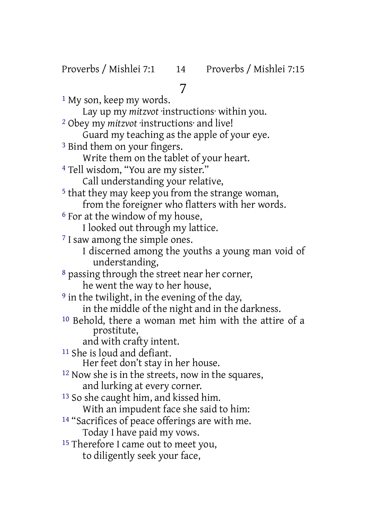7

1 My son, keep my words. Lay up my *mitzvot* ·instructions· within you. 2 Obey my *mitzvot* ·instructions· and live! Guard my teaching as the apple of your eye. 3 Bind them on your fingers. Write them on the tablet of your heart. 4 Tell wisdom, "You are my sister." Call understanding your relative, 5 that they may keep you from the strange woman, from the foreigner who flatters with her words. 6 For at the window of my house, I looked out through my lattice. 7 I saw among the simple ones. I discerned among the youths a young man void of understanding, <sup>8</sup> passing through the street near her corner, he went the way to her house, <sup>9</sup> in the twilight, in the evening of the day, in the middle of the night and in the darkness. 10 Behold, there a woman met him with the attire of a prostitute, and with crafty intent. 11 She is loud and defiant. Her feet don't stay in her house. 12 Now she is in the streets, now in the squares, and lurking at every corner. 13 So she caught him, and kissed him. With an impudent face she said to him: <sup>14</sup> "Sacrifices of peace offerings are with me. Today I have paid my vows. <sup>15</sup> Therefore I came out to meet you, to diligently seek your face,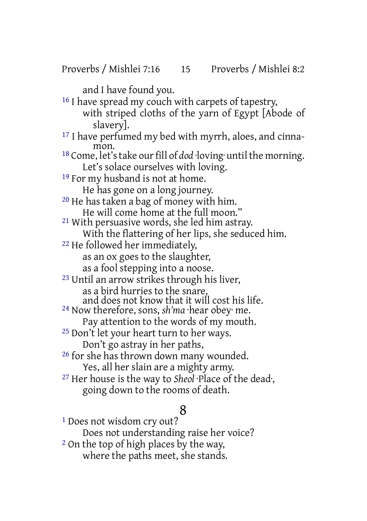Proverbs / Mishlei 7:16 15 Proverbs / Mishlei 8:2

and I have found you.

- <sup>16</sup> I have spread my couch with carpets of tapestry, with striped cloths of the yarn of Egypt [Abode of slavery].
- <sup>17</sup> I have perfumed my bed with myrrh, aloes, and cinnamon.
- <sup>18</sup> Come, let's take our fill of *dod* ·loving· until the morning. Let's solace ourselves with loving.

<sup>19</sup> For my husband is not at home.

He has gone on a long journey.

- 20 He has taken a bag of money with him.
	- He will come home at the full moon."
- 21 With persuasive words, she led him astray.
	- With the flattering of her lips, she seduced him.
- 22 He followed her immediately,
	- as an ox goes to the slaughter,
	- as a fool stepping into a noose.
- 23 Until an arrow strikes through his liver,
	- as a bird hurries to the snare,
	- and does not know that it will cost his life.
- 24 Now therefore, sons, *sh'ma* ·hear obey· me.
	- Pay attention to the words of my mouth.
- 25 Don't let your heart turn to her ways. Don't go astray in her paths,
- 26 for she has thrown down many wounded. Yes, all her slain are a mighty army.
- 27 Her house is the way to *Sheol* ·Place of the dead·, going down to the rooms of death.

# 8

1 Does not wisdom cry out? Does not understanding raise her voice? 2 On the top of high places by the way, where the paths meet, she stands.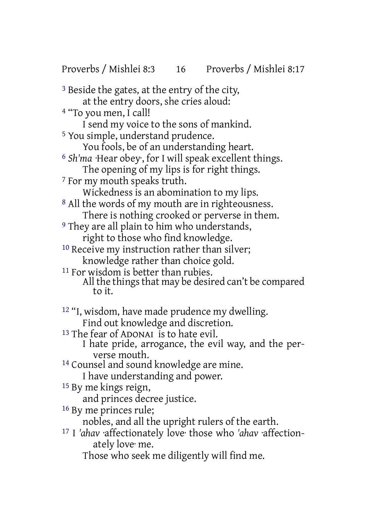3 Beside the gates, at the entry of the city, at the entry doors, she cries aloud: 4 "To you men, I call! I send my voice to the sons of mankind. 5 You simple, understand prudence. You fools, be of an understanding heart. 6 *Sh'ma* ·Hear obey·, for I will speak excellent things. The opening of my lips is for right things. 7 For my mouth speaks truth. Wickedness is an abomination to my lips. <sup>8</sup> All the words of my mouth are in righteousness. There is nothing crooked or perverse in them. <sup>9</sup> They are all plain to him who understands, right to those who find knowledge. <sup>10</sup> Receive my instruction rather than silver; knowledge rather than choice gold. <sup>11</sup> For wisdom is better than rubies. All the things that may be desired can't be compared to it. 12 "I, wisdom, have made prudence my dwelling. Find out knowledge and discretion. 13 The fear of ADONAI is to hate evil. I hate pride, arrogance, the evil way, and the perverse mouth. 14 Counsel and sound knowledge are mine. I have understanding and power. 15 By me kings reign, and princes decree justice. 16 By me princes rule; nobles, and all the upright rulers of the earth. 17 I *'ahav* ·affectionately love· those who *'ahav* ·affectionately love· me.

Those who seek me diligently will find me.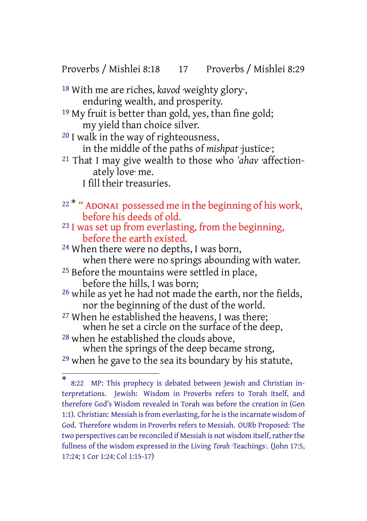Proverbs / Mishlei 8:18 17 Proverbs / Mishlei 8:29

- 18 With me are riches, *kavod* ·weighty glory·, enduring wealth, and prosperity.
- 19 My fruit is better than gold, yes, than fine gold; my yield than choice silver.
- 20 I walk in the way of righteousness, in the middle of the paths of *mishpat* ·justice·;

21 That I may give wealth to those who *'ahav* ·affectionately love· me.

I fill their treasuries.

- <sup>22 \*</sup> " ADONAI possessed me in the beginning of his work, before his deeds of old.
- <sup>23</sup> I was set up from everlasting, from the beginning, before the earth existed.

<sup>24</sup> When there were no depths, I was born, when there were no springs abounding with water.

- 25 Before the mountains were settled in place, before the hills, I was born;
- 26 while as yet he had not made the earth, nor the fields, nor the beginning of the dust of the world.
- 27 When he established the heavens, I was there; when he set a circle on the surface of the deep,
- 28 when he established the clouds above, when the springs of the deep became strong, 29 when he gave to the sea its boundary by his statute,

<sup>\*</sup> 8:22 MP: This prophecy is debated between Jewish and Christian interpretations. Jewish: Wisdom in Proverbs refers to Torah itself, and therefore God's Wisdom revealed in Torah was before the creation in (Gen 1:1). Christian: Messiah is from everlasting, for he is the incarnate wisdom of God. Therefore wisdom in Proverbs refers to Messiah. OURb Proposed: The two perspectives can be reconciled if Messiah is not wisdom itself, rather the fullness of the wisdom expressed in the Living *Torah* ·Teachings·. (John 17:5, 17:24; 1 Cor 1:24; Col 1:15-17)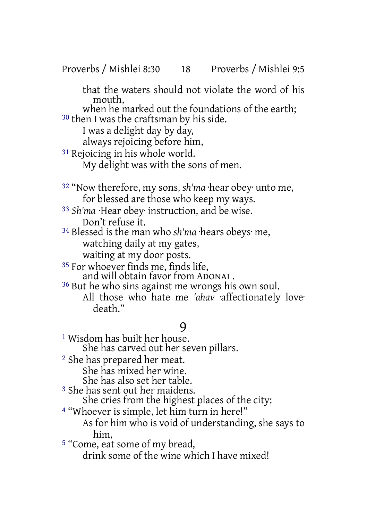Proverbs / Mishlei 8:30 18 Proverbs / Mishlei 9:5

that the waters should not violate the word of his mouth,

when he marked out the foundations of the earth: 30 then I was the craftsman by his side.

I was a delight day by day,

always rejoicing before him,

<sup>31</sup> Rejoicing in his whole world.

My delight was with the sons of men.

32 "Now therefore, my sons, *sh'ma* ·hear obey· unto me, for blessed are those who keep my ways.

- 33 *Sh'ma* ·Hear obey· instruction, and be wise. Don't refuse it.
- 34 Blessed is the man who *sh'ma* ·hears obeys· me, watching daily at my gates, waiting at my door posts.

<sup>35</sup> For whoever finds me, finds life,

and will obtain favor from ADONAI.

36 But he who sins against me wrongs his own soul. All those who hate me *'ahav* ·affectionately love· death."

#### $\mathbf Q$

1 Wisdom has built her house.

She has carved out her seven pillars.

2 She has prepared her meat.

She has mixed her wine.

She has also set her table.

3 She has sent out her maidens.

She cries from the highest places of the city:

4 "Whoever is simple, let him turn in here!"

As for him who is void of understanding, she says to him,

5 "Come, eat some of my bread,

drink some of the wine which I have mixed!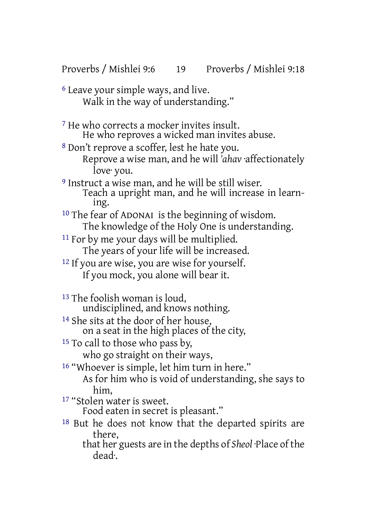Proverbs / Mishlei 9:6 19 Proverbs / Mishlei 9:18

6 Leave your simple ways, and live. Walk in the way of understanding."

7 He who corrects a mocker invites insult. He who reproves a wicked man invites abuse. 8 Don't reprove a scoffer, lest he hate you. Reprove a wise man, and he will *'ahav* ·affectionately love· you.

9 Instruct a wise man, and he will be still wiser. Teach a upright man, and he will increase in learning.

10 The fear of ADONAI is the beginning of wisdom. The knowledge of the Holy One is understanding.

- <sup>11</sup> For by me your days will be multiplied. The years of your life will be increased.
- <sup>12</sup> If you are wise, you are wise for yourself. If you mock, you alone will bear it.

13 The foolish woman is loud, undisciplined, and knows nothing.

<sup>14</sup> She sits at the door of her house, on a seat in the high places of the city,

<sup>15</sup> To call to those who pass by,

who go straight on their ways,

16 "Whoever is simple, let him turn in here."

As for him who is void of understanding, she says to him,

17 "Stolen water is sweet.

Food eaten in secret is pleasant."

18 But he does not know that the departed spirits are there,

that her guests are in the depths of *Sheol* ·Place of the dead·.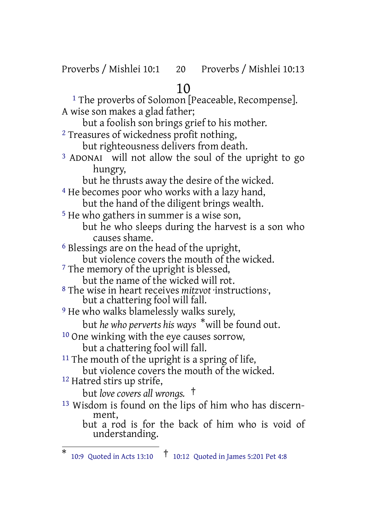Proverbs / Mishlei 10:1 20 Proverbs / Mishlei 10:13

## 10

<sup>1</sup> The proverbs of Solomon [Peaceable, Recompense]. A wise son makes a glad father; but a foolish son brings grief to his mother. 2 Treasures of wickedness profit nothing, but righteousness delivers from death. 3 ADONAI will not allow the soul of the upright to go hungry, but he thrusts away the desire of the wicked. 4 He becomes poor who works with a lazy hand, but the hand of the diligent brings wealth. 5 He who gathers in summer is a wise son, but he who sleeps during the harvest is a son who causes shame. 6 Blessings are on the head of the upright, but violence covers the mouth of the wicked. <sup>7</sup> The memory of the upright is blessed, but the name of the wicked will rot. 8 The wise in heart receives *mitzvot* ·instructions·, but a chattering fool will fall. 9 He who walks blamelessly walks surely, but *he who perverts his ways* \*will be found out. 10 One winking with the eye causes sorrow, but a chattering fool will fall.  $11$  The mouth of the upright is a spring of life, but violence covers the mouth of the wicked. 12 Hatred stirs up strife, but *love covers all wrongs.* † 13 Wisdom is found on the lips of him who has discernment, but a rod is for the back of him who is void of understanding.

<sup>\*</sup> 10:9 Quoted in Acts 13:10 † 10:12 Quoted in James 5:201 Pet 4:8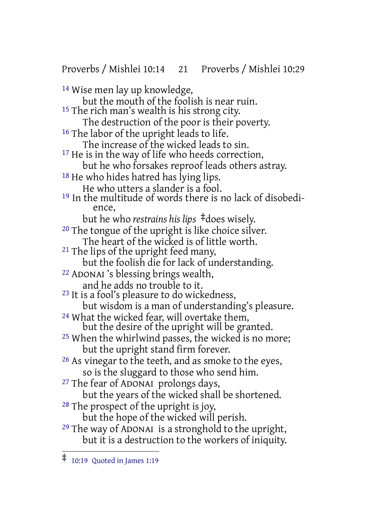Proverbs / Mishlei 10:14 21 Proverbs / Mishlei 10:29 14 Wise men lay up knowledge, but the mouth of the foolish is near ruin. <sup>15</sup> The rich man's wealth is his strong city. The destruction of the poor is their poverty. <sup>16</sup> The labor of the upright leads to life. The increase of the wicked leads to sin. <sup>17</sup> He is in the way of life who heeds correction, but he who forsakes reproof leads others astray. 18 He who hides hatred has lying lips. He who utters a slander is a fool. 19 In the multitude of words there is no lack of disobedience, but he who *restrains his lips* ‡does wisely. <sup>20</sup> The tongue of the upright is like choice silver. The heart of the wicked is of little worth. 21 The lips of the upright feed many, but the foolish die for lack of understanding. 22 ADONAI 's blessing brings wealth, and he adds no trouble to it. 23 It is a fool's pleasure to do wickedness, but wisdom is a man of understanding's pleasure. <sup>24</sup> What the wicked fear, will overtake them, but the desire of the upright will be granted. 25 When the whirlwind passes, the wicked is no more; but the upright stand firm forever. 26 As vinegar to the teeth, and as smoke to the eyes, so is the sluggard to those who send him. 27 The fear of ADONAI prolongs days, but the years of the wicked shall be shortened. 28 The prospect of the upright is joy, but the hope of the wicked will perish.  $29$  The way of ADONAI is a stronghold to the upright, but it is a destruction to the workers of iniquity.

<sup>‡</sup> 10:19 Quoted in James 1:19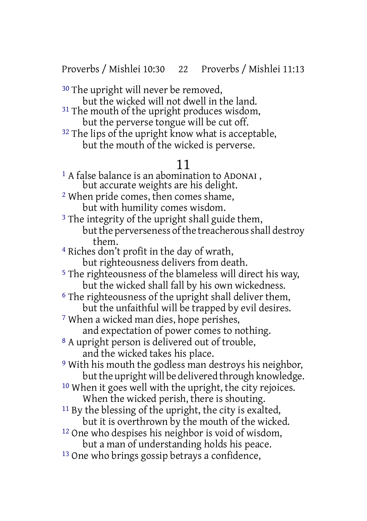Proverbs / Mishlei 10:30 22 Proverbs / Mishlei 11:13

<sup>30</sup> The upright will never be removed, but the wicked will not dwell in the land.

<sup>31</sup> The mouth of the upright produces wisdom, but the perverse tongue will be cut off.

<sup>32</sup> The lips of the upright know what is acceptable, but the mouth of the wicked is perverse.

## 11

1 A false balance is an abomination to ADONAI , but accurate weights are his delight. 2 When pride comes, then comes shame, but with humility comes wisdom. <sup>3</sup> The integrity of the upright shall guide them, but the perverseness of the treacherous shall destroy them. 4 Riches don't profit in the day of wrath, but righteousness delivers from death. 5 The righteousness of the blameless will direct his way, but the wicked shall fall by his own wickedness. <sup>6</sup> The righteousness of the upright shall deliver them, but the unfaithful will be trapped by evil desires. 7 When a wicked man dies, hope perishes, and expectation of power comes to nothing. 8 A upright person is delivered out of trouble, and the wicked takes his place. 9 With his mouth the godless man destroys his neighbor, but the upright will be delivered through knowledge. 10 When it goes well with the upright, the city rejoices. When the wicked perish, there is shouting. <sup>11</sup> By the blessing of the upright, the city is exalted, but it is overthrown by the mouth of the wicked. 12 One who despises his neighbor is void of wisdom, but a man of understanding holds his peace.

13 One who brings gossip betrays a confidence,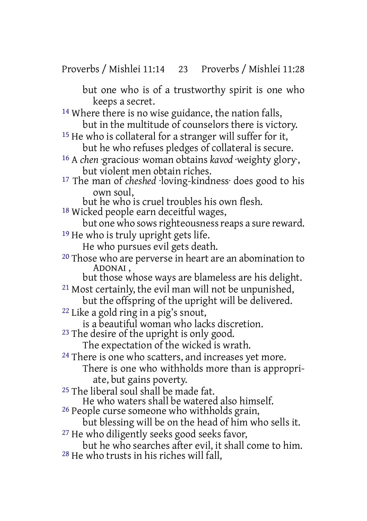but one who is of a trustworthy spirit is one who keeps a secret.

<sup>14</sup> Where there is no wise guidance, the nation falls, but in the multitude of counselors there is victory.

- 15 He who is collateral for a stranger will suffer for it, but he who refuses pledges of collateral is secure.
- 16 A *chen* ·gracious· woman obtains *kavod* ·weighty glory·, but violent men obtain riches.
- 17 The man of *cheshed* ·loving-kindness· does good to his own soul,

but he who is cruel troubles his own flesh.

18 Wicked people earn deceitful wages,

but one who sows righteousness reaps a sure reward. <sup>19</sup> He who is truly upright gets life.

He who pursues evil gets death.

20 Those who are perverse in heart are an abomination to ADONAI ,

but those whose ways are blameless are his delight.

21 Most certainly, the evil man will not be unpunished,

- but the offspring of the upright will be delivered. 22 Like a gold ring in a pig's snout,
- is a beautiful woman who lacks discretion.
- <sup>23</sup> The desire of the upright is only good.

The expectation of the wicked is wrath.

<sup>24</sup> There is one who scatters, and increases yet more.

There is one who withholds more than is appropriate, but gains poverty.

<sup>25</sup> The liberal soul shall be made fat.

He who waters shall be watered also himself.

- 26 People curse someone who withholds grain,
	- but blessing will be on the head of him who sells it.
- 27 He who diligently seeks good seeks favor,
- but he who searches after evil, it shall come to him. 28 He who trusts in his riches will fall,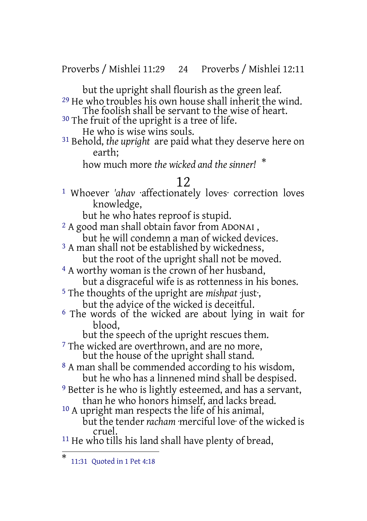Proverbs / Mishlei 11:29 24 Proverbs / Mishlei 12:11

but the upright shall flourish as the green leaf.

<sup>29</sup> He who troubles his own house shall inherit the wind. The foolish shall be servant to the wise of heart. <sup>30</sup> The fruit of the upright is a tree of life.

He who is wise wins souls.

31 Behold, *the upright* are paid what they deserve here on earth;

how much more *the wicked and the sinner!* \*

#### 12

<sup>1</sup> Whoever 'ahav affectionately loves correction loves knowledge,

but he who hates reproof is stupid.

<sup>2</sup> A good man shall obtain favor from ADONAI,

but he will condemn a man of wicked devices.

<sup>3</sup> A man shall not be established by wickedness, but the root of the upright shall not be moved.

4 A worthy woman is the crown of her husband,

but a disgraceful wife is as rottenness in his bones.

5 The thoughts of the upright are *mishpat* ·just·, but the advice of the wicked is deceitful.

6 The words of the wicked are about lying in wait for blood,

but the speech of the upright rescues them.

<sup>7</sup> The wicked are overthrown, and are no more, but the house of the upright shall stand.

8 A man shall be commended according to his wisdom, but he who has a linnened mind shall be despised.

9 Better is he who is lightly esteemed, and has a servant, than he who honors himself, and lacks bread.

10 A upright man respects the life of his animal, but the tender *racham* ·merciful love· of the wicked is cruel.

11 He who tills his land shall have plenty of bread,

\* 11:31 Quoted in 1 Pet 4:18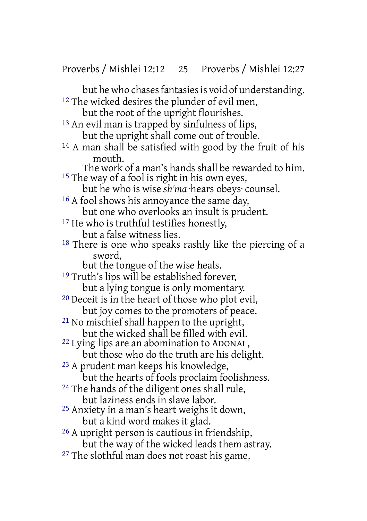but he who chases fantasies is void of understanding. <sup>12</sup> The wicked desires the plunder of evil men, but the root of the upright flourishes. 13 An evil man is trapped by sinfulness of lips, but the upright shall come out of trouble. 14 A man shall be satisfied with good by the fruit of his mouth. The work of a man's hands shall be rewarded to him. <sup>15</sup> The way of a fool is right in his own eyes, but he who is wise *sh'ma* ·hears obeys· counsel. <sup>16</sup> A fool shows his annoyance the same day, but one who overlooks an insult is prudent. <sup>17</sup> He who is truthful testifies honestly, but a false witness lies. 18 There is one who speaks rashly like the piercing of a sword, but the tongue of the wise heals. <sup>19</sup> Truth's lips will be established forever, but a lying tongue is only momentary. 20 Deceit is in the heart of those who plot evil, but joy comes to the promoters of peace. 21 No mischief shall happen to the upright, but the wicked shall be filled with evil. 22 Lying lips are an abomination to ADONAI , but those who do the truth are his delight. 23 A prudent man keeps his knowledge, but the hearts of fools proclaim foolishness. 24 The hands of the diligent ones shall rule, but laziness ends in slave labor. 25 Anxiety in a man's heart weighs it down, but a kind word makes it glad. 26 A upright person is cautious in friendship, but the way of the wicked leads them astray. 27 The slothful man does not roast his game,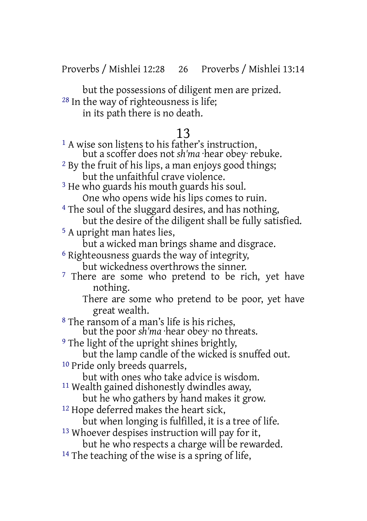Proverbs / Mishlei 12:28 26 Proverbs / Mishlei 13:14

but the possessions of diligent men are prized.

28 In the way of righteousness is life;

in its path there is no death.

#### 13

<sup>1</sup> A wise son listens to his father's instruction, but a scoffer does not *sh'ma* ·hear obey· rebuke. 2 By the fruit of his lips, a man enjoys good things; but the unfaithful crave violence. 3 He who guards his mouth guards his soul. One who opens wide his lips comes to ruin. <sup>4</sup> The soul of the sluggard desires, and has nothing, but the desire of the diligent shall be fully satisfied. 5 A upright man hates lies, but a wicked man brings shame and disgrace. 6 Righteousness guards the way of integrity, but wickedness overthrows the sinner. <sup>7</sup> There are some who pretend to be rich, yet have nothing. There are some who pretend to be poor, yet have great wealth. 8 The ransom of a man's life is his riches, but the poor *sh'ma* ·hear obey· no threats. 9 The light of the upright shines brightly, but the lamp candle of the wicked is snuffed out. 10 Pride only breeds quarrels, but with ones who take advice is wisdom. 11 Wealth gained dishonestly dwindles away, but he who gathers by hand makes it grow. 12 Hope deferred makes the heart sick, but when longing is fulfilled, it is a tree of life. 13 Whoever despises instruction will pay for it, but he who respects a charge will be rewarded.  $14$  The teaching of the wise is a spring of life,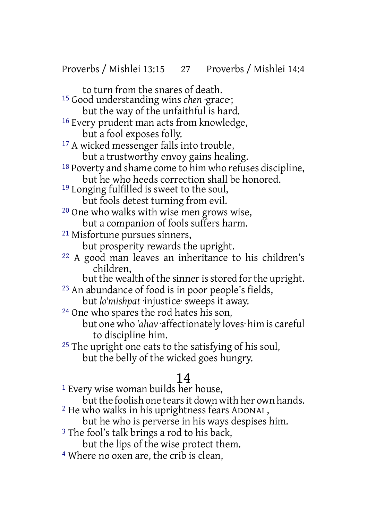Proverbs / Mishlei 13:15 27 Proverbs / Mishlei 14:4

to turn from the snares of death.

15 Good understanding wins *chen* ·grace·; but the way of the unfaithful is hard.

16 Every prudent man acts from knowledge, but a fool exposes folly.

- 17 A wicked messenger falls into trouble, but a trustworthy envoy gains healing.
- 18 Poverty and shame come to him who refuses discipline, but he who heeds correction shall be honored.
- 19 Longing fulfilled is sweet to the soul,

but fools detest turning from evil.

20 One who walks with wise men grows wise,

but a companion of fools suffers harm.

21 Misfortune pursues sinners,

but prosperity rewards the upright.

22 A good man leaves an inheritance to his children's children,

but the wealth of the sinner is stored for the upright.

23 An abundance of food is in poor people's fields,

but *lo'mishpat* ·injustice· sweeps it away.

24 One who spares the rod hates his son,

but one who *'ahav* ·affectionately loves· him is careful to discipline him.

<sup>25</sup> The upright one eats to the satisfying of his soul, but the belly of the wicked goes hungry.

### 14

1 Every wise woman builds her house,

but the foolish one tears it down with her own hands.

2 He who walks in his uprightness fears ADONAI ,

but he who is perverse in his ways despises him.

<sup>3</sup> The fool's talk brings a rod to his back,

but the lips of the wise protect them.

4 Where no oxen are, the crib is clean,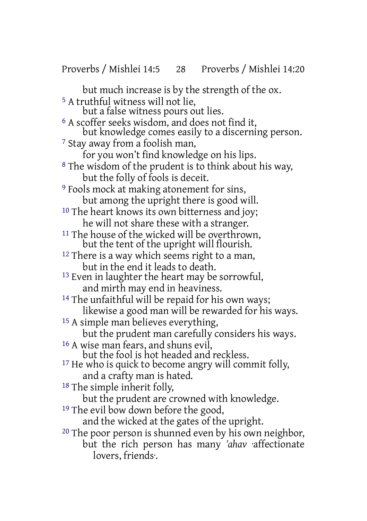Proverbs / Mishlei 14:5 28 Proverbs / Mishlei 14:20

but much increase is by the strength of the ox. 5 A truthful witness will not lie, but a false witness pours out lies. 6 A scoffer seeks wisdom, and does not find it, but knowledge comes easily to a discerning person. 7 Stay away from a foolish man, for you won't find knowledge on his lips. <sup>8</sup> The wisdom of the prudent is to think about his way. but the folly of fools is deceit. 9 Fools mock at making atonement for sins, but among the upright there is good will. <sup>10</sup> The heart knows its own bitterness and joy; he will not share these with a stranger. <sup>11</sup> The house of the wicked will be overthrown, but the tent of the upright will flourish. <sup>12</sup> There is a way which seems right to a man, but in the end it leads to death. 13 Even in laughter the heart may be sorrowful, and mirth may end in heaviness. <sup>14</sup> The unfaithful will be repaid for his own ways; likewise a good man will be rewarded for his ways. 15 A simple man believes everything, but the prudent man carefully considers his ways. <sup>16</sup> A wise man fears, and shuns evil. but the fool is hot headed and reckless. <sup>17</sup> He who is quick to become angry will commit folly, and a crafty man is hated. 18 The simple inherit folly, but the prudent are crowned with knowledge. <sup>19</sup> The evil bow down before the good, and the wicked at the gates of the upright. 20 The poor person is shunned even by his own neighbor, but the rich person has many *'ahav* ·affectionate lovers, friends·.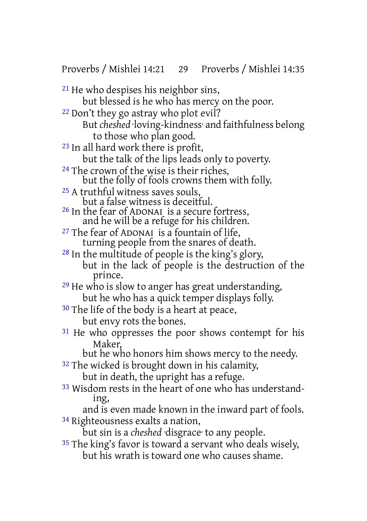Proverbs / Mishlei 14:21 29 Proverbs / Mishlei 14:35

- 21 He who despises his neighbor sins, but blessed is he who has mercy on the poor. 22 Don't they go astray who plot evil? But*cheshed* ·loving-kindness· and faithfulness belong to those who plan good. 23 In all hard work there is profit, but the talk of the lips leads only to poverty. <sup>24</sup> The crown of the wise is their riches, but the folly of fools crowns them with folly. 25 A truthful witness saves souls, but a false witness is deceitful. 26 In the fear of ADONAI is a secure fortress, and he will be a refuge for his children. 27 The fear of ADONAI is a fountain of life, turning people from the snares of death. 28 In the multitude of people is the king's glory, but in the lack of people is the destruction of the prince.  $29$  He who is slow to anger has great understanding, but he who has a quick temper displays folly. 30 The life of the body is a heart at peace, but envy rots the bones. 31 He who oppresses the poor shows contempt for his Maker, but he who honors him shows mercy to the needy. <sup>32</sup> The wicked is brought down in his calamity, but in death, the upright has a refuge. 33 Wisdom rests in the heart of one who has understanding,
- and is even made known in the inward part of fools. 34 Righteousness exalts a nation,

but sin is a *cheshed* ·disgrace· to any people.

<sup>35</sup> The king's favor is toward a servant who deals wisely, but his wrath is toward one who causes shame.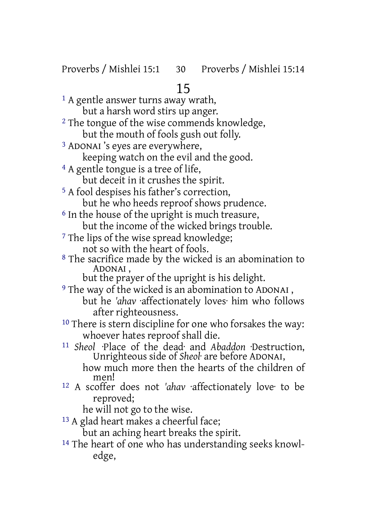## 15

<sup>1</sup> A gentle answer turns away wrath, but a harsh word stirs up anger. <sup>2</sup> The tongue of the wise commends knowledge, but the mouth of fools gush out folly. 3 ADONAI 's eyes are everywhere, keeping watch on the evil and the good. 4 A gentle tongue is a tree of life, but deceit in it crushes the spirit. 5 A fool despises his father's correction, but he who heeds reproof shows prudence. <sup>6</sup> In the house of the upright is much treasure, but the income of the wicked brings trouble. <sup>7</sup> The lips of the wise spread knowledge; not so with the heart of fools. 8 The sacrifice made by the wicked is an abomination to ADONAI , but the prayer of the upright is his delight. 9 The way of the wicked is an abomination to ADONAI , but he *'ahav* ·affectionately loves· him who follows after righteousness. 10 There is stern discipline for one who forsakes the way: whoever hates reproof shall die. 11 *Sheol* ·Place of the dead· and *Abaddon* ·Destruction, Unrighteous side of *Sheol*· are before ADONAI, how much more then the hearts of the children of men! 12 A scoffer does not *'ahav* ·affectionately love· to be reproved; he will not go to the wise. 13 A glad heart makes a cheerful face; but an aching heart breaks the spirit. 14 The heart of one who has understanding seeks knowledge,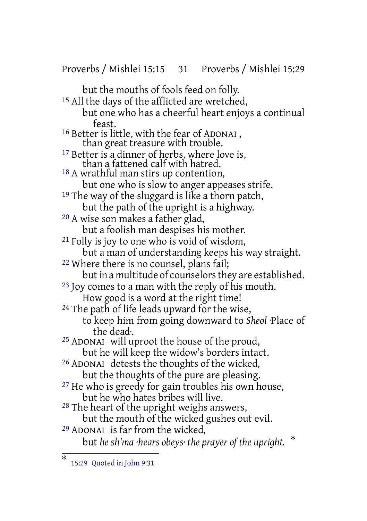Proverbs / Mishlei 15:15 31 Proverbs / Mishlei 15:29 but the mouths of fools feed on folly. 15 All the days of the afflicted are wretched, but one who has a cheerful heart enjoys a continual feast. 16 Better is little, with the fear of ADONAI , than great treasure with trouble. <sup>17</sup> Better is a dinner of herbs, where love is, than a fattened calf with hatred. 18 A wrathful man stirs up contention, but one who is slow to anger appeases strife. <sup>19</sup> The way of the sluggard is like a thorn patch, but the path of the upright is a highway. 20 A wise son makes a father glad, but a foolish man despises his mother. 21 Folly is joy to one who is void of wisdom, but a man of understanding keeps his way straight. 22 Where there is no counsel, plans fail; but in a multitude of counselors they are established. 23 Joy comes to a man with the reply of his mouth. How good is a word at the right time! 24 The path of life leads upward for the wise, to keep him from going downward to *Sheol* ·Place of the dead·. 25 ADONAI will uproot the house of the proud, but he will keep the widow's borders intact. 26 ADONAI detests the thoughts of the wicked, but the thoughts of the pure are pleasing. 27 He who is greedy for gain troubles his own house, but he who hates bribes will live. 28 The heart of the upright weighs answers, but the mouth of the wicked gushes out evil. 29 ADONAI is far from the wicked, but *he sh'ma ·hears obeys· the prayer of the upright.* \*

<sup>\*</sup> 15:29 Quoted in John 9:31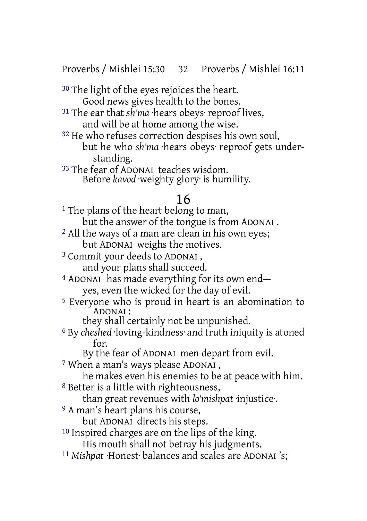Proverbs / Mishlei 15:30 32 Proverbs / Mishlei 16:11

<sup>30</sup> The light of the eyes rejoices the heart. Good news gives health to the bones.

31 The ear that *sh'ma* ·hears obeys· reproof lives, and will be at home among the wise.

<sup>32</sup> He who refuses correction despises his own soul, but he who *sh'ma* ·hears obeys· reproof gets understanding.

33 The fear of ADONAI teaches wisdom. Before *kavod* ·weighty glory· is humility.

### 16

<sup>1</sup> The plans of the heart belong to man, but the answer of the tongue is from ADONAI . <sup>2</sup> All the ways of a man are clean in his own eyes; but ADONAI weighs the motives. 3 Commit your deeds to ADONAI , and your plans shall succeed. 4 ADONAI has made everything for its own end yes, even the wicked for the day of evil. 5 Everyone who is proud in heart is an abomination to ADONAI : they shall certainly not be unpunished. 6 By *cheshed* ·loving-kindness· and truth iniquity is atoned for. By the fear of ADONAI men depart from evil. 7 When a man's ways please ADONAI , he makes even his enemies to be at peace with him. 8 Better is a little with righteousness, than great revenues with *lo'mishpat* ·injustice·. 9 A man's heart plans his course, but ADONAI directs his steps. 10 Inspired charges are on the lips of the king. His mouth shall not betray his judgments. 11 *Mishpat* ·Honest· balances and scales are ADONAI 's;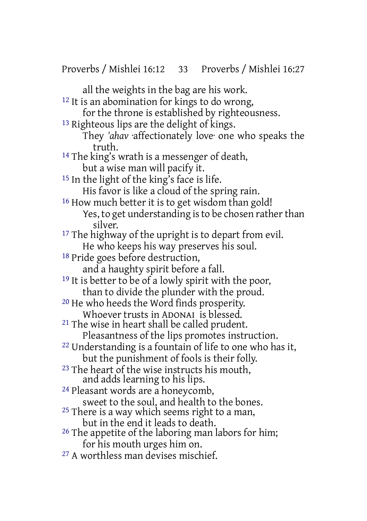all the weights in the bag are his work. <sup>12</sup> It is an abomination for kings to do wrong, for the throne is established by righteousness. <sup>13</sup> Righteous lips are the delight of kings. They *'ahav* ·affectionately love· one who speaks the truth. <sup>14</sup> The king's wrath is a messenger of death, but a wise man will pacify it. <sup>15</sup> In the light of the king's face is life. His favor is like a cloud of the spring rain. <sup>16</sup> How much better it is to get wisdom than gold! Yes, to get understanding is to be chosen rather than silver. <sup>17</sup> The highway of the upright is to depart from evil. He who keeps his way preserves his soul. 18 Pride goes before destruction, and a haughty spirit before a fall.  $19$  It is better to be of a lowly spirit with the poor, than to divide the plunder with the proud. 20 He who heeds the Word finds prosperity. Whoever trusts in ADONAI is blessed. <sup>21</sup> The wise in heart shall be called prudent. Pleasantness of the lips promotes instruction. 22 Understanding is a fountain of life to one who has it, but the punishment of fools is their folly. <sup>23</sup> The heart of the wise instructs his mouth, and adds learning to his lips. 24 Pleasant words are a honeycomb, sweet to the soul, and health to the bones.  $25$  There is a way which seems right to a man, but in the end it leads to death. <sup>26</sup> The appetite of the laboring man labors for him; for his mouth urges him on.

27 A worthless man devises mischief.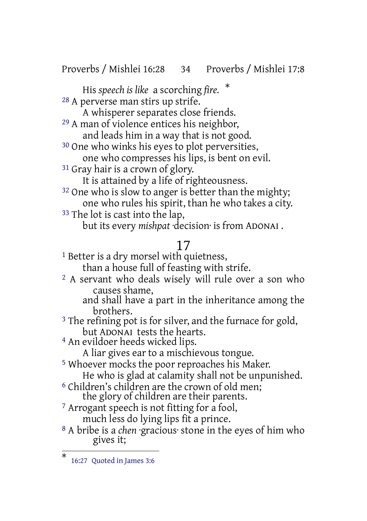Proverbs / Mishlei 16:28 34 Proverbs / Mishlei 17:8

His *speech is like* a scorching *fire.* \*

28 A perverse man stirs up strife.

A whisperer separates close friends.

29 A man of violence entices his neighbor, and leads him in a way that is not good.

30 One who winks his eyes to plot perversities, one who compresses his lips, is bent on evil.

31 Gray hair is a crown of glory.

It is attained by a life of righteousness.

<sup>32</sup> One who is slow to anger is better than the mighty; one who rules his spirit, than he who takes a city.

33 The lot is cast into the lap, but its every *mishpat* ·decision· is from ADONAI .

#### 17

<sup>1</sup> Better is a dry morsel with quietness, than a house full of feasting with strife.

2 A servant who deals wisely will rule over a son who causes shame,

and shall have a part in the inheritance among the brothers.

- <sup>3</sup> The refining pot is for silver, and the furnace for gold, but ADONAI tests the hearts.
- 4 An evildoer heeds wicked lips.

A liar gives ear to a mischievous tongue.

5 Whoever mocks the poor reproaches his Maker.

He who is glad at calamity shall not be unpunished.

- <sup>6</sup> Children's children are the crown of old men;
	- the glory of children are their parents.

7 Arrogant speech is not fitting for a fool, much less do lying lips fit a prince.

8 A bribe is a *chen* ·gracious· stone in the eyes of him who gives it;

<sup>\*</sup> 16:27 Quoted in James 3:6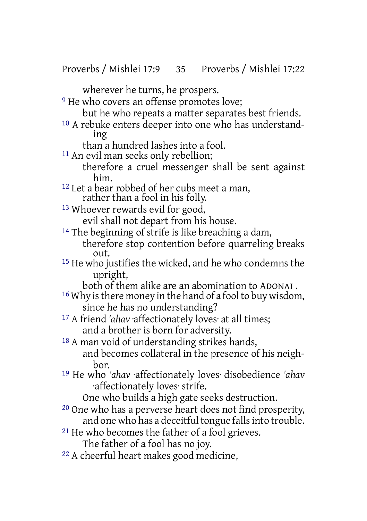Proverbs / Mishlei 17:9 35 Proverbs / Mishlei 17:22

wherever he turns, he prospers.

<sup>9</sup> He who covers an offense promotes love;

but he who repeats a matter separates best friends.

10 A rebuke enters deeper into one who has understanding

than a hundred lashes into a fool.

<sup>11</sup> An evil man seeks only rebellion;

therefore a cruel messenger shall be sent against him.

<sup>12</sup> Let a bear robbed of her cubs meet a man, rather than a fool in his folly.

13 Whoever rewards evil for good,

evil shall not depart from his house.

<sup>14</sup> The beginning of strife is like breaching a dam, therefore stop contention before quarreling breaks

 $011t$ .

15 He who justifies the wicked, and he who condemns the upright,

both of them alike are an abomination to ADONAI .

<sup>16</sup> Why is there money in the hand of a fool to buy wisdom, since he has no understanding?

<sup>17</sup> A friend 'ahav affectionately loves<sub>'</sub> at all times; and a brother is born for adversity.

18 A man void of understanding strikes hands, and becomes collateral in the presence of his neighbor.

19 He who *'ahav* ·affectionately loves· disobedience *'ahav* ·affectionately loves· strife.

One who builds a high gate seeks destruction.

- 20 One who has a perverse heart does not find prosperity, and one who has a deceitful tongue falls into trouble.
- 21 He who becomes the father of a fool grieves.

The father of a fool has no joy.

22 A cheerful heart makes good medicine,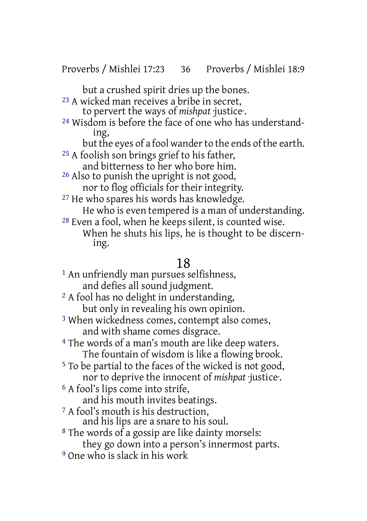but a crushed spirit dries up the bones.

23 A wicked man receives a bribe in secret, to pervert the ways of *mishpat* ·justice·.

24 Wisdom is before the face of one who has understanding,

but the eyes of a fool wander to the ends of the earth.

25 A foolish son brings grief to his father,

and bitterness to her who bore him.

- 26 Also to punish the upright is not good, nor to flog officials for their integrity.
- 27 He who spares his words has knowledge.

He who is even tempered is a man of understanding.

28 Even a fool, when he keeps silent, is counted wise. When he shuts his lips, he is thought to be discerning.

#### 18

- 1 An unfriendly man pursues selfishness, and defies all sound judgment.
- 2 A fool has no delight in understanding, but only in revealing his own opinion.
- 3 When wickedness comes, contempt also comes, and with shame comes disgrace.
- 4 The words of a man's mouth are like deep waters. The fountain of wisdom is like a flowing brook.
- 5 To be partial to the faces of the wicked is not good, nor to deprive the innocent of *mishpat* ·justice·.
- 6 A fool's lips come into strife,

and his mouth invites beatings.

- <sup>7</sup> A fool's mouth is his destruction, and his lips are a snare to his soul.
- 8 The words of a gossip are like dainty morsels:
	- they go down into a person's innermost parts.
- 9 One who is slack in his work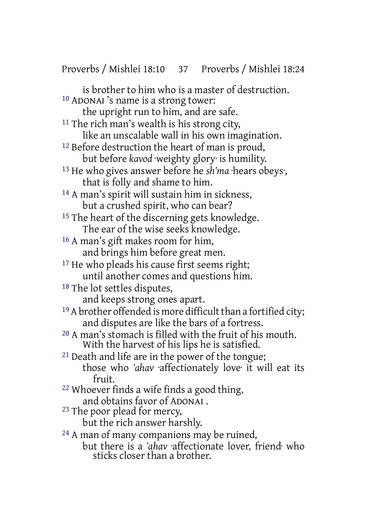Proverbs / Mishlei 18:10 37 Proverbs / Mishlei 18:24

is brother to him who is a master of destruction. 10 ADONAI 's name is a strong tower: the upright run to him, and are safe. 11 The rich man's wealth is his strong city, like an unscalable wall in his own imagination. <sup>12</sup> Before destruction the heart of man is proud, but before *kavod* ·weighty glory· is humility. 13 He who gives answer before he *sh'ma* ·hears obeys·, that is folly and shame to him. 14 A man's spirit will sustain him in sickness, but a crushed spirit, who can bear? <sup>15</sup> The heart of the discerning gets knowledge. The ear of the wise seeks knowledge. 16 A man's gift makes room for him, and brings him before great men. <sup>17</sup> He who pleads his cause first seems right; until another comes and questions him. 18 The lot settles disputes, and keeps strong ones apart. <sup>19</sup> A brother offended is more difficult than a fortified city; and disputes are like the bars of a fortress. 20 A man's stomach is filled with the fruit of his mouth. With the harvest of his lips he is satisfied. 21 Death and life are in the power of the tongue; those who *'ahav* ·affectionately love· it will eat its fruit. 22 Whoever finds a wife finds a good thing, and obtains favor of ADONAI . 23 The poor plead for mercy, but the rich answer harshly.

24 A man of many companions may be ruined, but there is a *'ahav* ·affectionate lover, friend· who sticks closer than a brother.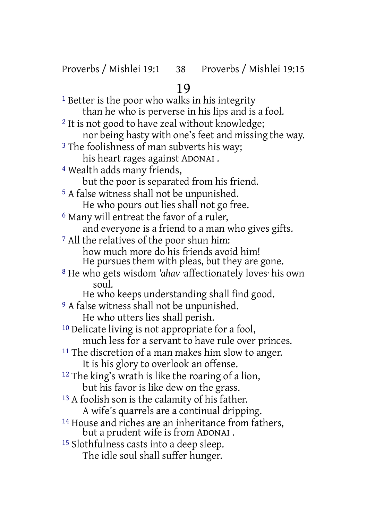# 19

<sup>1</sup> Better is the poor who walks in his integrity than he who is perverse in his lips and is a fool. <sup>2</sup> It is not good to have zeal without knowledge; nor being hasty with one's feet and missing the way. <sup>3</sup> The foolishness of man subverts his way; his heart rages against ADONAI . 4 Wealth adds many friends, but the poor is separated from his friend. 5 A false witness shall not be unpunished. He who pours out lies shall not go free. 6 Many will entreat the favor of a ruler, and everyone is a friend to a man who gives gifts. 7 All the relatives of the poor shun him: how much more do his friends avoid him! He pursues them with pleas, but they are gone. 8 He who gets wisdom *'ahav* ·affectionately loves· his own soul. He who keeps understanding shall find good. 9 A false witness shall not be unpunished. He who utters lies shall perish. 10 Delicate living is not appropriate for a fool, much less for a servant to have rule over princes. <sup>11</sup> The discretion of a man makes him slow to anger. It is his glory to overlook an offense. <sup>12</sup> The king's wrath is like the roaring of a lion, but his favor is like dew on the grass. 13 A foolish son is the calamity of his father. A wife's quarrels are a continual dripping. 14 House and riches are an inheritance from fathers, but a prudent wife is from ADONAI . 15 Slothfulness casts into a deep sleep. The idle soul shall suffer hunger.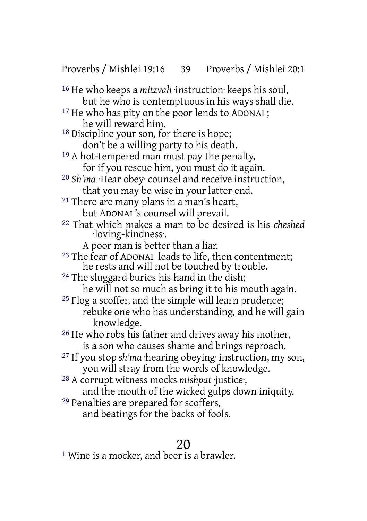Proverbs / Mishlei 19:16 39 Proverbs / Mishlei 20:1

16 He who keeps a *mitzvah* ·instruction· keeps his soul, but he who is contemptuous in his ways shall die.

<sup>17</sup> He who has pity on the poor lends to ADONAI; he will reward him.

18 Discipline your son, for there is hope; don't be a willing party to his death.

- <sup>19</sup> A hot-tempered man must pay the penalty, for if you rescue him, you must do it again.
- 20 *Sh'ma* ·Hear obey· counsel and receive instruction, that you may be wise in your latter end.

21 There are many plans in a man's heart, but ADONAI 's counsel will prevail.

- 22 That which makes a man to be desired is his *cheshed* ·loving-kindness·.
	- A poor man is better than a liar.
- 23 The fear of ADONAI leads to life, then contentment; he rests and will not be touched by trouble.

<sup>24</sup> The sluggard buries his hand in the dish;

he will not so much as bring it to his mouth again.

- 25 Flog a scoffer, and the simple will learn prudence; rebuke one who has understanding, and he will gain knowledge.
- 26 He who robs his father and drives away his mother, is a son who causes shame and brings reproach.
- 27 If you stop *sh'ma* ·hearing obeying· instruction, my son, you will stray from the words of knowledge.

28 A corrupt witness mocks *mishpat* ·justice·,

and the mouth of the wicked gulps down iniquity.

29 Penalties are prepared for scoffers,

and beatings for the backs of fools.

# 20

<sup>1</sup> Wine is a mocker, and beer is a brawler.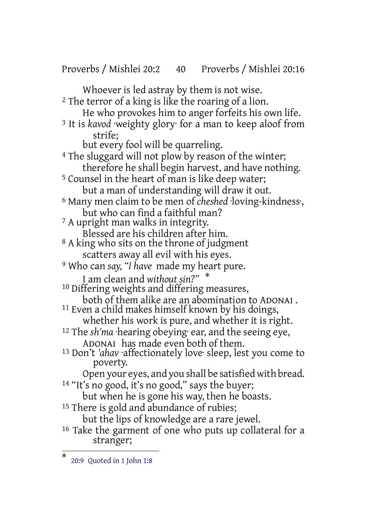Proverbs / Mishlei 20:2 40 Proverbs / Mishlei 20:16

Whoever is led astray by them is not wise. <sup>2</sup> The terror of a king is like the roaring of a lion. He who provokes him to anger forfeits his own life. <sup>3</sup> It is *kavod* ·weighty glory· for a man to keep aloof from strife; but every fool will be quarreling. <sup>4</sup> The sluggard will not plow by reason of the winter;

therefore he shall begin harvest, and have nothing. 5 Counsel in the heart of man is like deep water;

but a man of understanding will draw it out.

6 Many men claim to be men of *cheshed* ·loving-kindness·, but who can find a faithful man?

<sup>7</sup> A upright man walks in integrity. Blessed are his children after him.

8 A king who sits on the throne of judgment scatters away all evil with his eyes.

9 Who can *say, "I have* made my heart pure.

I am clean and *without sin?"* \*

10 Differing weights and differing measures, both of them alike are an abomination to ADONAI .

11 Even a child makes himself known by his doings, whether his work is pure, and whether it is right.

12 The *sh'ma* ·hearing obeying· ear, and the seeing eye, ADONAI has made even both of them.

13 Don't *'ahav* ·affectionately love· sleep, lest you come to poverty.

Open your eyes, and you shall be satisfied with bread. 14 "It's no good, it's no good," says the buyer;

but when he is gone his way, then he boasts.

<sup>15</sup> There is gold and abundance of rubies;

but the lips of knowledge are a rare jewel.

16 Take the garment of one who puts up collateral for a stranger;

<sup>\*</sup> 20:9 Quoted in 1 John 1:8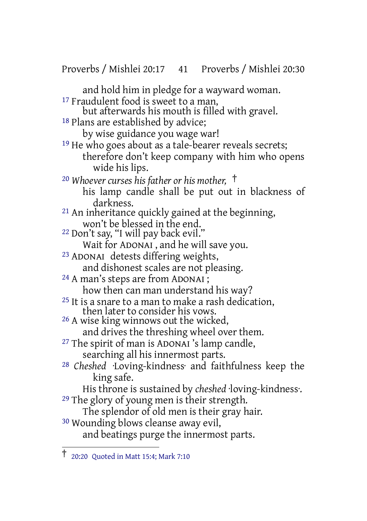Proverbs / Mishlei 20:17 41 Proverbs / Mishlei 20:30 and hold him in pledge for a wayward woman. <sup>17</sup> Fraudulent food is sweet to a man, but afterwards his mouth is filled with gravel. <sup>18</sup> Plans are established by advice; by wise guidance you wage war! <sup>19</sup> He who goes about as a tale-bearer reveals secrets; therefore don't keep company with him who opens wide his lips. <sup>20</sup> *Whoever curses his father or his mother,* † his lamp candle shall be put out in blackness of darkness. 21 An inheritance quickly gained at the beginning, won't be blessed in the end. 22 Don't say, "I will pay back evil." Wait for ADONAI , and he will save you. 23 ADONAI detests differing weights, and dishonest scales are not pleasing. <sup>24</sup> A man's steps are from ADONAI ; how then can man understand his way? 25 It is a snare to a man to make a rash dedication, then later to consider his vows. 26 A wise king winnows out the wicked, and drives the threshing wheel over them. 27 The spirit of man is ADONAI 's lamp candle, searching all his innermost parts. 28 *Cheshed* ·Loving-kindness· and faithfulness keep the king safe. His throne is sustained by *cheshed* ·loving-kindness·. 29 The glory of young men is their strength. The splendor of old men is their gray hair. 30 Wounding blows cleanse away evil, and beatings purge the innermost parts.

<sup>†</sup> 20:20 Quoted in Matt 15:4; Mark 7:10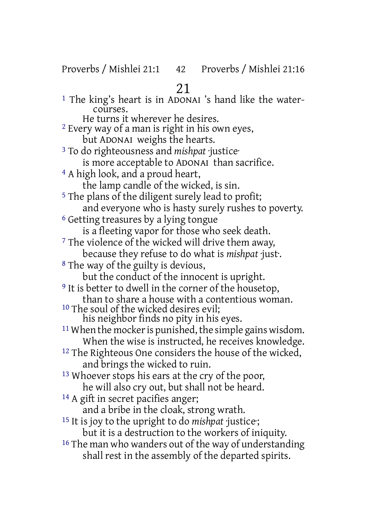## 21

1 The king's heart is in ADONAI 's hand like the watercourses. He turns it wherever he desires. 2 Every way of a man is right in his own eyes, but ADONAI weighs the hearts. 3 To do righteousness and *mishpat* ·justice· is more acceptable to ADONAI than sacrifice. 4 A high look, and a proud heart, the lamp candle of the wicked, is sin. <sup>5</sup> The plans of the diligent surely lead to profit; and everyone who is hasty surely rushes to poverty. 6 Getting treasures by a lying tongue is a fleeting vapor for those who seek death. <sup>7</sup> The violence of the wicked will drive them away, because they refuse to do what is *mishpat* ·just·. 8 The way of the guilty is devious, but the conduct of the innocent is upright. <sup>9</sup> It is better to dwell in the corner of the housetop, than to share a house with a contentious woman. <sup>10</sup> The soul of the wicked desires evil; his neighbor finds no pity in his eyes.  $11$  When the mocker is punished, the simple gains wisdom. When the wise is instructed, he receives knowledge. <sup>12</sup> The Righteous One considers the house of the wicked, and brings the wicked to ruin. 13 Whoever stops his ears at the cry of the poor, he will also cry out, but shall not be heard. <sup>14</sup> A gift in secret pacifies anger; and a bribe in the cloak, strong wrath. 15 It is joy to the upright to do *mishpat* ·justice·; but it is a destruction to the workers of iniquity. <sup>16</sup> The man who wanders out of the way of understanding shall rest in the assembly of the departed spirits.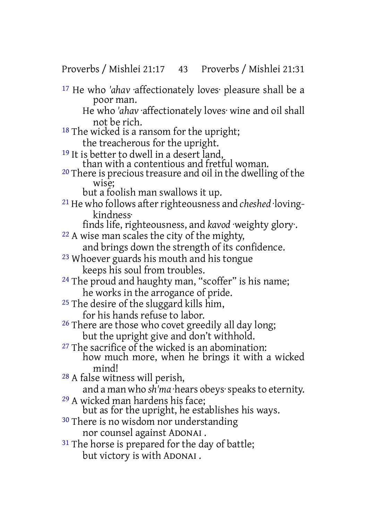Proverbs / Mishlei 21:17 43 Proverbs / Mishlei 21:31

17 He who *'ahav* ·affectionately loves· pleasure shall be a poor man.

He who *'ahav* ·affectionately loves· wine and oil shall not be rich.

- <sup>18</sup> The wicked is a ransom for the upright; the treacherous for the upright.
- <sup>19</sup> It is better to dwell in a desert land, than with a contentious and fretful woman.
- <sup>20</sup> There is precious treasure and oil in the dwelling of the wise;
	- but a foolish man swallows it up.
- <sup>21</sup> He who follows after righteousness and *cheshed* ·lovingkindness·
	- finds life, righteousness, and *kavod* ·weighty glory·.
- 22 A wise man scales the city of the mighty, and brings down the strength of its confidence.
- 23 Whoever guards his mouth and his tongue keeps his soul from troubles.
- <sup>24</sup> The proud and haughty man, "scoffer" is his name; he works in the arrogance of pride.
- <sup>25</sup> The desire of the sluggard kills him. for his hands refuse to labor.
- <sup>26</sup> There are those who covet greedily all day long; but the upright give and don't withhold.
- 27 The sacrifice of the wicked is an abomination: how much more, when he brings it with a wicked mind!
- 28 A false witness will perish,

and a man who *sh'ma* ·hears obeys·speaksto eternity. 29 A wicked man hardens his face;

- but as for the upright, he establishes his ways.
- <sup>30</sup> There is no wisdom nor understanding nor counsel against ADONAI .
- <sup>31</sup> The horse is prepared for the day of battle; but victory is with ADONAI .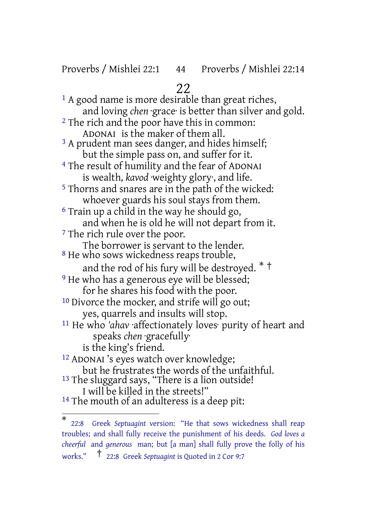Proverbs / Mishlei 22:1 44 Proverbs / Mishlei 22:14

## 22

<sup>1</sup> A good name is more desirable than great riches, and loving *chen* ·grace· is better than silver and gold. <sup>2</sup> The rich and the poor have this in common: ADONAI is the maker of them all. <sup>3</sup> A prudent man sees danger, and hides himself; but the simple pass on, and suffer for it. 4 The result of humility and the fear of ADONAI is wealth, *kavod* ·weighty glory·, and life. 5 Thorns and snares are in the path of the wicked: whoever guards his soul stays from them. 6 Train up a child in the way he should go, and when he is old he will not depart from it. 7 The rich rule over the poor. The borrower is servant to the lender. 8 He who sows wickedness reaps trouble, and the rod of his fury will be destroyed. \* † <sup>9</sup> He who has a generous eye will be blessed; for he shares his food with the poor. <sup>10</sup> Divorce the mocker, and strife will go out; yes, quarrels and insults will stop. 11 He who *'ahav* ·affectionately loves· purity of heart and speaks *chen* ·gracefully· is the king's friend. 12 ADONAI 's eyes watch over knowledge; but he frustrates the words of the unfaithful. <sup>13</sup> The sluggard says, "There is a lion outside! I will be killed in the streets!" 14 The mouth of an adulteress is a deep pit:

<sup>\*</sup> 22:8 Greek *Septuagint* version: "He that sows wickedness shall reap troubles; and shall fully receive the punishment of his deeds. *God loves a cheerful* and *generous* man; but [a man] shall fully prove the folly of his works." † 22:8 Greek *Septuagint* is Quoted in <sup>2</sup> Cor 9:7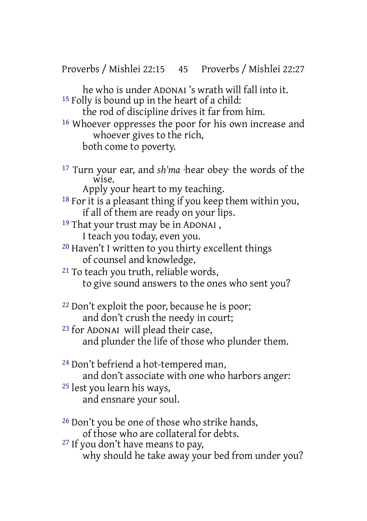Proverbs / Mishlei 22:15 45 Proverbs / Mishlei 22:27

he who is under ADONAI 's wrath will fall into it. 15 Folly is bound up in the heart of a child:

the rod of discipline drives it far from him.

16 Whoever oppresses the poor for his own increase and whoever gives to the rich,

both come to poverty.

17 Turn your ear, and *sh'ma* ·hear obey· the words of the wise.

Apply your heart to my teaching.

18 For it is a pleasant thing if you keep them within you, if all of them are ready on your lips.

- <sup>19</sup> That your trust may be in ADONAI, I teach you today, even you.
- 20 Haven't I written to you thirty excellent things of counsel and knowledge,

21 To teach you truth, reliable words, to give sound answers to the ones who sent you?

22 Don't exploit the poor, because he is poor; and don't crush the needy in court;

23 for ADONAI will plead their case, and plunder the life of those who plunder them.

24 Don't befriend a hot-tempered man, and don't associate with one who harbors anger: 25 lest you learn his ways, and ensnare your soul.

26 Don't you be one of those who strike hands, of those who are collateral for debts.

27 If you don't have means to pay, why should he take away your bed from under you?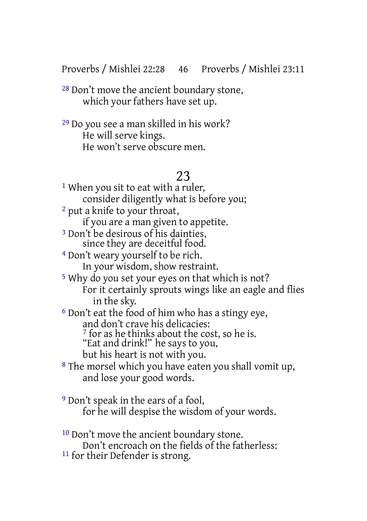Proverbs / Mishlei 22:28 46 Proverbs / Mishlei 23:11

28 Don't move the ancient boundary stone, which your fathers have set up.

29 Do you see a man skilled in his work? He will serve kings. He won't serve obscure men.

#### 23

<sup>1</sup> When you sit to eat with a ruler, consider diligently what is before you; 2 put a knife to your throat, if you are a man given to appetite. <sup>3</sup> Don't be desirous of his dainties. since they are deceitful food. 4 Don't weary yourself to be rich. In your wisdom, show restraint. 5 Why do you set your eyes on that which is not? For it certainly sprouts wings like an eagle and flies in the sky. 6 Don't eat the food of him who has a stingy eye, and don't crave his delicacies: 7 for as he thinks about the cost, so he is. "Eat and drink!" he says to you, but his heart is not with you. 8 The morsel which you have eaten you shall vomit up, and lose your good words. 9 Don't speak in the ears of a fool, for he will despise the wisdom of your words.

10 Don't move the ancient boundary stone.

Don't encroach on the fields of the fatherless:

11 for their Defender is strong.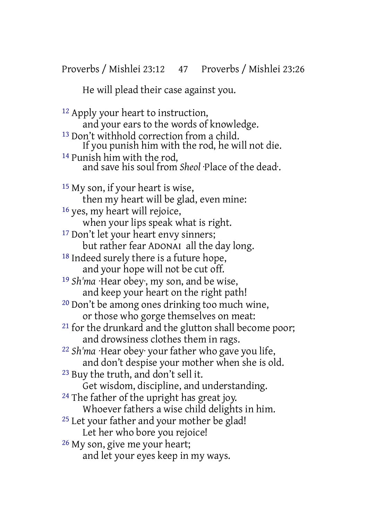He will plead their case against you.

12 Apply your heart to instruction, and your ears to the words of knowledge. 13 Don't withhold correction from a child. If you punish him with the rod, he will not die. 14 Punish him with the rod, and save his soul from *Sheol* ·Place of the dead·. 15 My son, if your heart is wise, then my heart will be glad, even mine: 16 yes, my heart will rejoice, when your lips speak what is right. <sup>17</sup> Don't let your heart envy sinners; but rather fear ADONAI all the day long. 18 Indeed surely there is a future hope, and your hope will not be cut off. 19 *Sh'ma* ·Hear obey·, my son, and be wise, and keep your heart on the right path! 20 Don't be among ones drinking too much wine, or those who gorge themselves on meat: 21 for the drunkard and the glutton shall become poor; and drowsiness clothes them in rags. 22 *Sh'ma* ·Hear obey· your father who gave you life, and don't despise your mother when she is old. 23 Buy the truth, and don't sell it. Get wisdom, discipline, and understanding. <sup>24</sup> The father of the upright has great joy. Whoever fathers a wise child delights in him. <sup>25</sup> Let your father and your mother be glad! Let her who bore you rejoice! 26 My son, give me your heart; and let your eyes keep in my ways.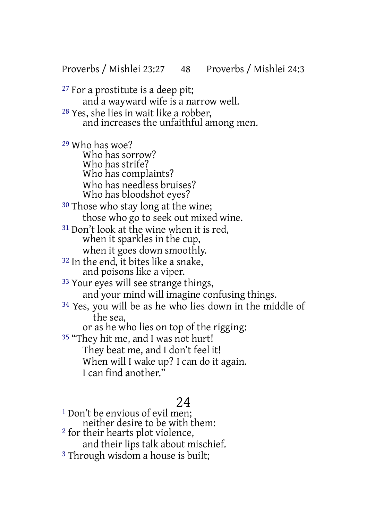Proverbs / Mishlei 23:27 48 Proverbs / Mishlei 24:3

27 For a prostitute is a deep pit;

and a wayward wife is a narrow well.

28 Yes, she lies in wait like a robber, and increases the unfaithful among men.

29 Who has woe? Who has sorrow? Who has strife? Who has complaints? Who has needless bruises? Who has bloodshot eyes?

<sup>30</sup> Those who stay long at the wine; those who go to seek out mixed wine.

- 31 Don't look at the wine when it is red, when it sparkles in the cup, when it goes down smoothly.
- 32 In the end, it bites like a snake, and poisons like a viper.

33 Your eyes will see strange things, and your mind will imagine confusing things.

34 Yes, you will be as he who lies down in the middle of the sea,

or as he who lies on top of the rigging:

<sup>35</sup> "They hit me, and I was not hurt! They beat me, and I don't feel it! When will I wake up? I can do it again. I can find another."

### 24

1 Don't be envious of evil men; neither desire to be with them: 2 for their hearts plot violence, and their lips talk about mischief. 3 Through wisdom a house is built;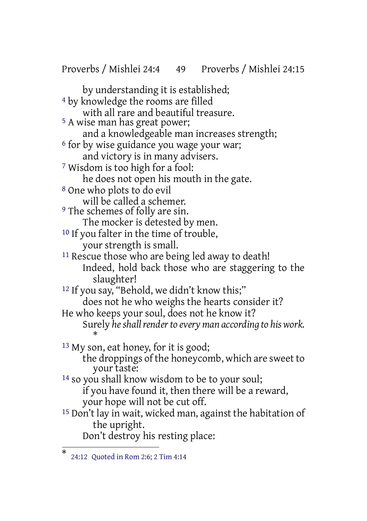Proverbs / Mishlei 24:4 49 Proverbs / Mishlei 24:15

by understanding it is established; 4 by knowledge the rooms are filled with all rare and beautiful treasure. 5 A wise man has great power; and a knowledgeable man increases strength; <sup>6</sup> for by wise guidance you wage your war; and victory is in many advisers. 7 Wisdom is too high for a fool: he does not open his mouth in the gate. 8 One who plots to do evil will be called a schemer. <sup>9</sup> The schemes of folly are sin. The mocker is detested by men. 10 If you falter in the time of trouble, your strength is small. <sup>11</sup> Rescue those who are being led away to death! Indeed, hold back those who are staggering to the slaughter! 12 If you say, "Behold, we didn't know this;" does not he who weighs the hearts consider it? He who keeps your soul, does not he know it? Surely *heshallrenderto every man according to his work.* \* <sup>13</sup> My son, eat honey, for it is good; the droppings of the honeycomb, which are sweet to your taste: <sup>14</sup> so you shall know wisdom to be to your soul; if you have found it, then there will be a reward, your hope will not be cut off. 15 Don't lay in wait, wicked man, against the habitation of the upright. Don't destroy his resting place:

<sup>\*</sup> 24:12 Quoted in Rom 2:6; 2 Tim 4:14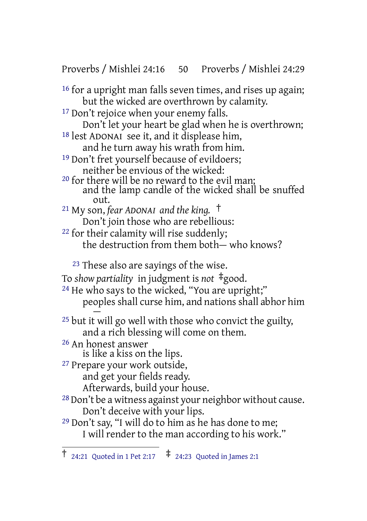Proverbs / Mishlei 24:16 50 Proverbs / Mishlei 24:29

16 for a upright man falls seven times, and rises up again; but the wicked are overthrown by calamity. <sup>17</sup> Don't rejoice when your enemy falls. Don't let your heart be glad when he is overthrown; 18 lest ADONAI see it, and it displease him, and he turn away his wrath from him. <sup>19</sup> Don't fret yourself because of evildoers; neither be envious of the wicked:  $20$  for there will be no reward to the evil man; and the lamp candle of the wicked shall be snuffed out. <sup>21</sup> My son, *fear ADONAI and the king.* † Don't join those who are rebellious: 22 for their calamity will rise suddenly; the destruction from them both— who knows? 23 These also are sayings of the wise. To *show partiality* in judgment is *not* ‡good. <sup>24</sup> He who says to the wicked, "You are upright;" peoples shall curse him, and nations shall abhor him  $\overline{\phantom{0}}$ <sup>25</sup> but it will go well with those who convict the guilty, and a rich blessing will come on them. 26 An honest answer is like a kiss on the lips. 27 Prepare your work outside, and get your fields ready. Afterwards, build your house. 28 Don't be a witness against your neighbor without cause. Don't deceive with your lips. 29 Don't say, "I will do to him as he has done to me; I will render to the man according to his work."

<sup>†</sup> 24:21 Quoted in <sup>1</sup> Pet 2:17 ‡ 24:23 Quoted in James 2:1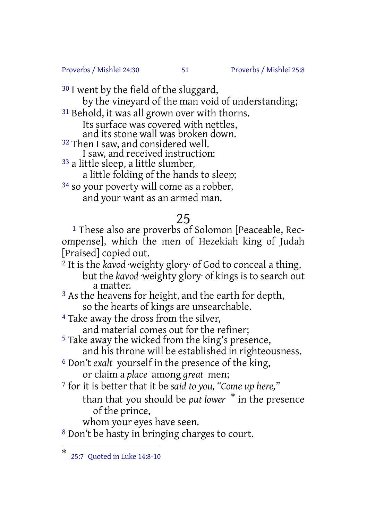Proverbs / Mishlei 24:30 51 Proverbs / Mishlei 25:8

30 I went by the field of the sluggard, by the vineyard of the man void of understanding; 31 Behold, it was all grown over with thorns. Its surface was covered with nettles, and its stone wall was broken down. <sup>32</sup> Then I saw, and considered well. I saw, and received instruction: 33 a little sleep, a little slumber, a little folding of the hands to sleep; <sup>34</sup> so your poverty will come as a robber, and your want as an armed man.

25

<sup>1</sup> These also are proverbs of Solomon [Peaceable, Recompense], which the men of Hezekiah king of Judah [Praised] copied out.

<sup>2</sup> It is the *kavod* ·weighty glory· of God to conceal a thing, but the *kavod* ·weighty glory· of kings is to search out a matter.

<sup>3</sup> As the heavens for height, and the earth for depth, so the hearts of kings are unsearchable.

4 Take away the dross from the silver, and material comes out for the refiner;

5 Take away the wicked from the king's presence, and his throne will be established in righteousness.

6 Don't *exalt* yourself in the presence of the king, or claim a *place* among *great* men;

7 for it is better that it be *said to you, "Come up here,"* than that you should be *put lower* \* in the presence of the prince,

whom your eyes have seen.

8 Don't be hasty in bringing charges to court.

<sup>\*</sup> 25:7 Quoted in Luke 14:8-10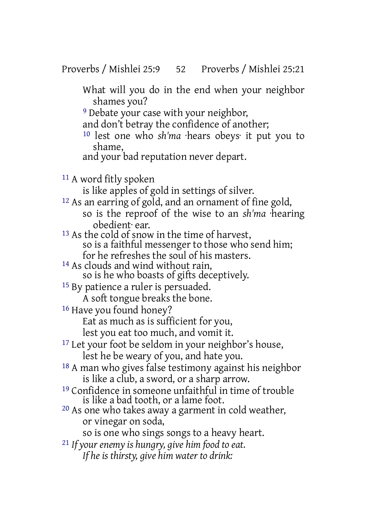What will you do in the end when your neighbor shames you?

9 Debate your case with your neighbor,

and don't betray the confidence of another;

- 10 lest one who *sh'ma* ·hears obeys· it put you to shame,
- and your bad reputation never depart.
- 11 A word fitly spoken

is like apples of gold in settings of silver.

12 As an earring of gold, and an ornament of fine gold, so is the reproof of the wise to an *sh'ma* ·hearing obedient· ear.

13 As the cold of snow in the time of harvest, so is a faithful messenger to those who send him; for he refreshes the soul of his masters.

<sup>14</sup> As clouds and wind without rain, so is he who boasts of gifts deceptively.

<sup>15</sup> By patience a ruler is persuaded.

A soft tongue breaks the bone.

16 Have you found honey?

Eat as much as is sufficient for you,

lest you eat too much, and vomit it.

- <sup>17</sup> Let your foot be seldom in your neighbor's house, lest he be weary of you, and hate you.
- 18 A man who gives false testimony against his neighbor is like a club, a sword, or a sharp arrow.
- 19 Confidence in someone unfaithful in time of trouble is like a bad tooth, or a lame foot.
- 20 As one who takes away a garment in cold weather, or vinegar on soda,

so is one who sings songs to a heavy heart.

21 *If your enemy is hungry, give him food to eat. If he is thirsty, give him water to drink:*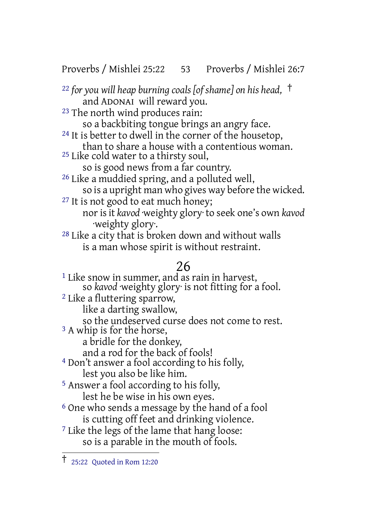Proverbs / Mishlei 25:22 53 Proverbs / Mishlei 26:7

<sup>22</sup> *for you will heap burning coals [of shame] on his head,* † and ADONAI will reward you.

23 The north wind produces rain: so a backbiting tongue brings an angry face. 24 It is better to dwell in the corner of the housetop, than to share a house with a contentious woman. 25 Like cold water to a thirsty soul,

so is good news from a far country. 26 Like a muddied spring, and a polluted well, so is a upright man who gives way before the wicked.

<sup>27</sup> It is not good to eat much honey; nor is it kavod weighty glory to seek one's own kavod ·weighty glory·.

28 Like a city that is broken down and without walls is a man whose spirit is without restraint.

#### 26

<sup>1</sup> Like snow in summer, and as rain in harvest, so *kavod* ·weighty glory· is not fitting for a fool. 2 Like a fluttering sparrow, like a darting swallow, so the undeserved curse does not come to rest. <sup>3</sup> A whip is for the horse, a bridle for the donkey, and a rod for the back of fools! 4 Don't answer a fool according to his folly, lest you also be like him. 5 Answer a fool according to his folly, lest he be wise in his own eyes. 6 One who sends a message by the hand of a fool is cutting off feet and drinking violence. 7 Like the legs of the lame that hang loose:

so is a parable in the mouth of fools.

<sup>†</sup> 25:22 Quoted in Rom 12:20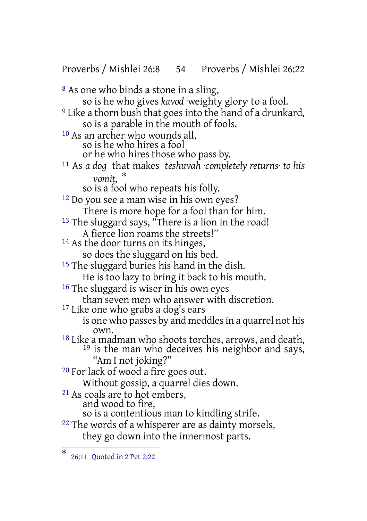Proverbs / Mishlei 26:8 54 Proverbs / Mishlei 26:22

8 As one who binds a stone in a sling, so is he who gives *kavod* ·weighty glory· to a fool.

9 Like a thorn bush that goes into the hand of a drunkard, so is a parable in the mouth of fools.

10 As an archer who wounds all,

so is he who hires a fool

or he who hires those who pass by.

11 As *a dog* that makes *teshuvah ·completely returns· to his vomit,* \*

so is a fool who repeats his folly.

12 Do you see a man wise in his own eyes?

There is more hope for a fool than for him. <sup>13</sup> The sluggard says, "There is a lion in the road!

A fierce lion roams the streets!"

<sup>14</sup> As the door turns on its hinges,

so does the sluggard on his bed.

<sup>15</sup> The sluggard buries his hand in the dish.

He is too lazy to bring it back to his mouth.

16 The sluggard is wiser in his own eyes

than seven men who answer with discretion.

17 Like one who grabs a dog's ears

is one who passes by and meddlesin a quarrel not his own.

- <sup>18</sup> Like a madman who shoots torches, arrows, and death, <sup>19</sup> is the man who deceives his neighbor and says, "Am I not joking?"
- 20 For lack of wood a fire goes out.
	- Without gossip, a quarrel dies down.
- 21 As coals are to hot embers,
	- and wood to fire,

so is a contentious man to kindling strife.

22 The words of a whisperer are as dainty morsels,

they go down into the innermost parts.

<sup>\*</sup> 26:11 Quoted in 2 Pet 2:22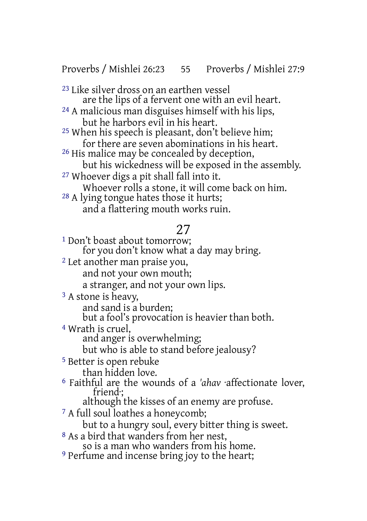Proverbs / Mishlei 26:23 55 Proverbs / Mishlei 27:9

- 23 Like silver dross on an earthen vessel are the lips of a fervent one with an evil heart.
- 24 A malicious man disguises himself with his lips, but he harbors evil in his heart.
- <sup>25</sup> When his speech is pleasant, don't believe him; for there are seven abominations in his heart.
- <sup>26</sup> His malice may be concealed by deception, but his wickedness will be exposed in the assembly.
- 27 Whoever digs a pit shall fall into it. Whoever rolls a stone, it will come back on him.
- 28 A lying tongue hates those it hurts; and a flattering mouth works ruin.

# 27

1 Don't boast about tomorrow; for you don't know what a day may bring. 2 Let another man praise you, and not your own mouth; a stranger, and not your own lips. <sup>3</sup> A stone is heavy, and sand is a burden; but a fool's provocation is heavier than both. 4 Wrath is cruel, and anger is overwhelming; but who is able to stand before jealousy? 5 Better is open rebuke than hidden love. 6 Faithful are the wounds of a *'ahav* ·affectionate lover, friend·; although the kisses of an enemy are profuse. 7 A full soul loathes a honeycomb; but to a hungry soul, every bitter thing is sweet. 8 As a bird that wanders from her nest,

so is a man who wanders from his home. 9 Perfume and incense bring joy to the heart;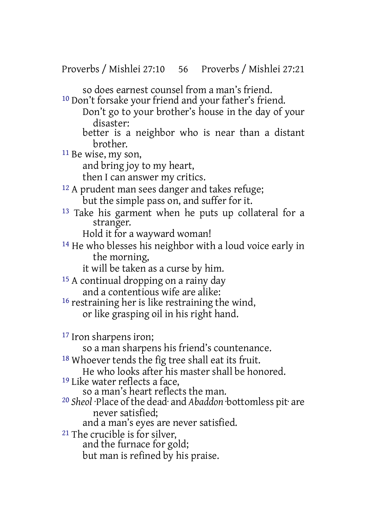so does earnest counsel from a man's friend.

10 Don't forsake your friend and your father's friend.

Don't go to your brother's house in the day of your disaster:

better is a neighbor who is near than a distant brother.

11 Be wise, my son,

and bring joy to my heart,

then I can answer my critics.

12 A prudent man sees danger and takes refuge; but the simple pass on, and suffer for it.

13 Take his garment when he puts up collateral for a stranger.

Hold it for a wayward woman!

14 He who blesses his neighbor with a loud voice early in the morning,

it will be taken as a curse by him.

- 15 A continual dropping on a rainy day and a contentious wife are alike:
- 16 restraining her is like restraining the wind, or like grasping oil in his right hand.

17 Iron sharpens iron;

so a man sharpens his friend's countenance.

18 Whoever tends the fig tree shall eat its fruit.

He who looks after his master shall be honored.

19 Like water reflects a face,

so a man's heart reflects the man.

20 *Sheol* ·Place of the dead· and *Abaddon* ·bottomless pit· are never satisfied;

and a man's eyes are never satisfied.

21 The crucible is for silver,

and the furnace for gold;

but man is refined by his praise.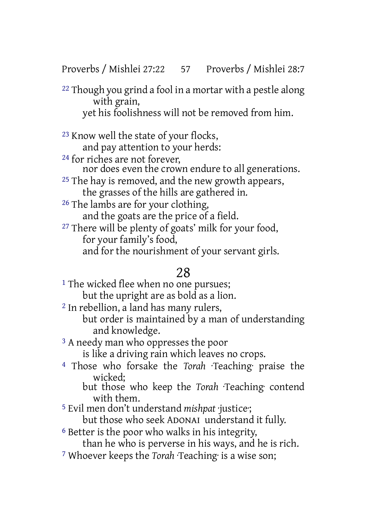Proverbs / Mishlei 27:22 57 Proverbs / Mishlei 28:7

22 Though you grind a fool in a mortar with a pestle along with grain, yet his foolishness will not be removed from him.

23 Know well the state of your flocks, and pay attention to your herds:

<sup>24</sup> for riches are not forever, nor does even the crown endure to all generations.

<sup>25</sup> The hay is removed, and the new growth appears, the grasses of the hills are gathered in.

<sup>26</sup> The lambs are for your clothing, and the goats are the price of a field.

27 There will be plenty of goats' milk for your food, for your family's food, and for the nourishment of your servant girls.

### 28

<sup>1</sup> The wicked flee when no one pursues; but the upright are as bold as a lion. 2 In rebellion, a land has many rulers, but order is maintained by a man of understanding and knowledge. 3 A needy man who oppresses the poor is like a driving rain which leaves no crops. 4 Those who forsake the *Torah* ·Teaching· praise the wicked; but those who keep the *Torah* ·Teaching· contend with them. 5 Evil men don't understand *mishpat* ·justice·; but those who seek ADONAI understand it fully. 6 Better is the poor who walks in his integrity, than he who is perverse in his ways, and he is rich. 7 Whoever keeps the *Torah* ·Teaching· is a wise son;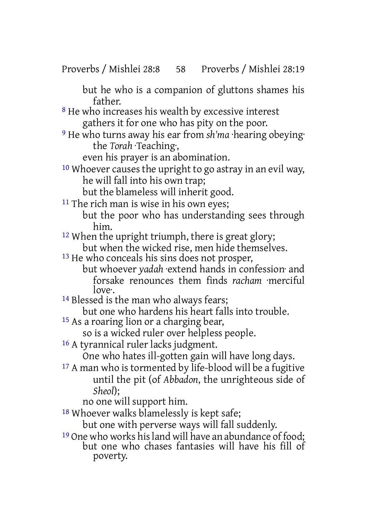but he who is a companion of gluttons shames his father.

8 He who increases his wealth by excessive interest gathers it for one who has pity on the poor.

- 9 He who turns away his ear from *sh'ma* ·hearing obeying· the Torah Teaching;
	- even his prayer is an abomination.

10 Whoever causes the upright to go astray in an evil way, he will fall into his own trap;

but the blameless will inherit good.

<sup>11</sup> The rich man is wise in his own eyes;

but the poor who has understanding sees through him.

<sup>12</sup> When the upright triumph, there is great glory; but when the wicked rise, men hide themselves.

13 He who conceals his sins does not prosper,

but whoever *yadah* ·extend hands in confession· and forsake renounces them finds *racham* ·merciful love·.

<sup>14</sup> Blessed is the man who always fears:

but one who hardens his heart falls into trouble.

15 As a roaring lion or a charging bear,

so is a wicked ruler over helpless people.

16 A tyrannical ruler lacks judgment.

One who hates ill-gotten gain will have long days.

17 A man who is tormented by life-blood will be a fugitive until the pit (of *Abbadon*, the unrighteous side of *Sheol*);

no one will support him.

18 Whoever walks blamelessly is kept safe;

but one with perverse ways will fall suddenly.

19 One who works hisland will have an abundance of food; but one who chases fantasies will have his fill of poverty.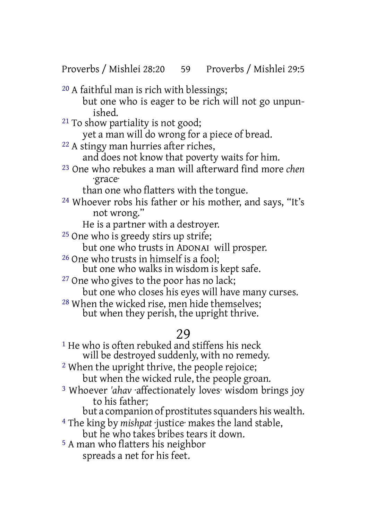Proverbs / Mishlei 28:20 59 Proverbs / Mishlei 29:5

- 20 A faithful man is rich with blessings; but one who is eager to be rich will not go unpunished. 21 To show partiality is not good; yet a man will do wrong for a piece of bread.
- 22 A stingy man hurries after riches,
	- and does not know that poverty waits for him.
- 23 One who rebukes a man will afterward find more *chen* ·grace·

than one who flatters with the tongue.

24 Whoever robs his father or his mother, and says, "It's not wrong."

He is a partner with a destroyer.

<sup>25</sup> One who is greedy stirs up strife;

but one who trusts in ADONAI will prosper.

26 One who trusts in himself is a fool;

but one who walks in wisdom is kept safe.

27 One who gives to the poor has no lack;

but one who closes his eyes will have many curses.

28 When the wicked rise, men hide themselves; but when they perish, the upright thrive.

### 29

<sup>1</sup> He who is often rebuked and stiffens his neck will be destroyed suddenly, with no remedy.

2 When the upright thrive, the people rejoice; but when the wicked rule, the people groan.

- 3 Whoever *'ahav* ·affectionately loves· wisdom brings joy to his father;
	- but a companion of prostitutes squanders his wealth.
- 4 The king by *mishpat* ·justice· makes the land stable, but he who takes bribes tears it down.
- 5 A man who flatters his neighbor spreads a net for his feet.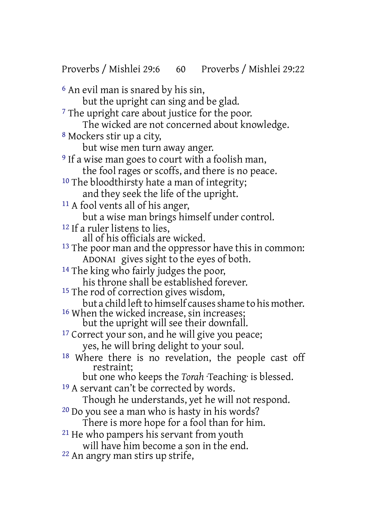Proverbs / Mishlei 29:6 60 Proverbs / Mishlei 29:22

6 An evil man is snared by his sin, but the upright can sing and be glad. <sup>7</sup> The upright care about justice for the poor. The wicked are not concerned about knowledge. 8 Mockers stir up a city, but wise men turn away anger. <sup>9</sup> If a wise man goes to court with a foolish man, the fool rages or scoffs, and there is no peace. <sup>10</sup> The bloodthirsty hate a man of integrity; and they seek the life of the upright. 11 A fool vents all of his anger, but a wise man brings himself under control. 12 If a ruler listens to lies, all of his officials are wicked. <sup>13</sup> The poor man and the oppressor have this in common:

ADONAI gives sight to the eyes of both.

<sup>14</sup> The king who fairly judges the poor,

his throne shall be established forever.

<sup>15</sup> The rod of correction gives wisdom,

but a child left to himself causes shame to his mother.

- <sup>16</sup> When the wicked increase, sin increases; but the upright will see their downfall.
- <sup>17</sup> Correct your son, and he will give you peace; yes, he will bring delight to your soul.
- 18 Where there is no revelation, the people cast off restraint;
	- but one who keeps the *Torah* ·Teaching· is blessed.
- 19 A servant can't be corrected by words.

Though he understands, yet he will not respond.

- 20 Do you see a man who is hasty in his words? There is more hope for a fool than for him.
- 21 He who pampers his servant from youth
	- will have him become a son in the end.
- 22 An angry man stirs up strife,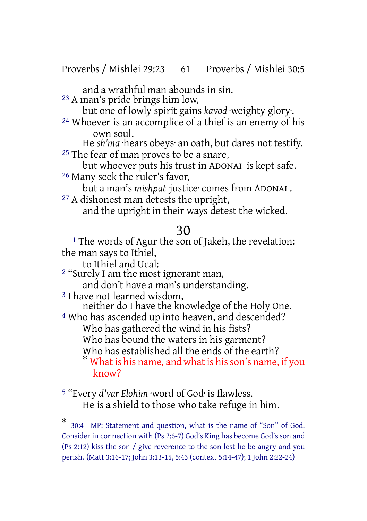Proverbs / Mishlei 29:23 61 Proverbs / Mishlei 30:5

and a wrathful man abounds in sin.

23 A man's pride brings him low,

but one of lowly spirit gains *kavod* ·weighty glory·.

24 Whoever is an accomplice of a thief is an enemy of his own soul.

He *sh'ma* ·hears obeys· an oath, but dares not testify. <sup>25</sup> The fear of man proves to be a snare,

but whoever puts his trust in ADONAI is kept safe. 26 Many seek the ruler's favor,

but a man's *mishpat* ·justice· comes from ADONAI .

27 A dishonest man detests the upright,

and the upright in their ways detest the wicked.

#### 30

1 The words of Agur the son of Jakeh, the revelation: the man says to Ithiel,

to Ithiel and Ucal:

2 "Surely I am the most ignorant man,

and don't have a man's understanding.

3 I have not learned wisdom, neither do I have the knowledge of the Holy One.

4 Who has ascended up into heaven, and descended? Who has gathered the wind in his fists?

Who has bound the waters in his garment?

Who has established all the ends of the earth?

What is his name, and what is his son's name, if you know?

5 "Every *d'var Elohim* ·word of God· is flawless. He is a shield to those who take refuge in him.

<sup>\*</sup> 30:4 MP: Statement and question, what is the name of "Son" of God. Consider in connection with (Ps 2:6-7) God's King has become God's son and (Ps 2:12) kiss the son / give reverence to the son lest he be angry and you perish. (Matt 3:16-17; John 3:13-15, 5:43 (context 5:14-47); 1 John 2:22-24)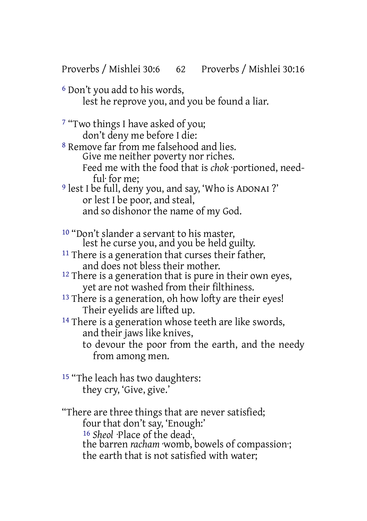#### Proverbs / Mishlei 30:6 62 Proverbs / Mishlei 30:16

6 Don't you add to his words, lest he reprove you, and you be found a liar.

7 "Two things I have asked of you; don't deny me before I die:

8 Remove far from me falsehood and lies. Give me neither poverty nor riches. Feed me with the food that is *chok* ·portioned, needful· for me;

9 lest I be full, deny you, and say, 'Who is ADONAI ?' or lest I be poor, and steal, and so dishonor the name of my God.

10 "Don't slander a servant to his master, lest he curse you, and you be held guilty.

- <sup>11</sup> There is a generation that curses their father, and does not bless their mother.
- <sup>12</sup> There is a generation that is pure in their own eyes, yet are not washed from their filthiness.
- <sup>13</sup> There is a generation, oh how lofty are their eyes! Their eyelids are lifted up.
- <sup>14</sup> There is a generation whose teeth are like swords, and their jaws like knives,

to devour the poor from the earth, and the needy from among men.

<sup>15</sup> "The leach has two daughters: they cry, 'Give, give.'

"There are three things that are never satisfied; four that don't say, 'Enough:' 16 *Sheol* ·Place of the dead·, the barren *racham* ·womb, bowels of compassion: the earth that is not satisfied with water;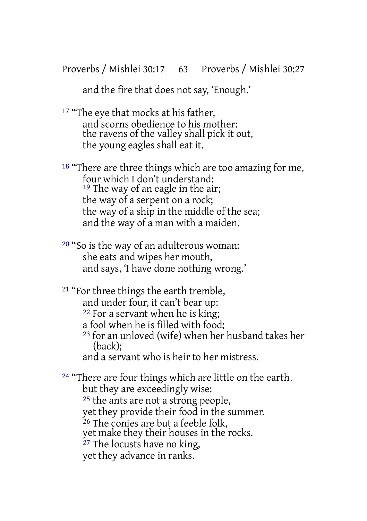Proverbs / Mishlei 30:17 63 Proverbs / Mishlei 30:27

and the fire that does not say, 'Enough.'

<sup>17</sup> "The eye that mocks at his father, and scorns obedience to his mother: the ravens of the valley shall pick it out, the young eagles shall eat it.

18 "There are three things which are too amazing for me, four which I don't understand: <sup>19</sup> The way of an eagle in the air; the way of a serpent on a rock; the way of a ship in the middle of the sea; and the way of a man with a maiden.

20 "So is the way of an adulterous woman: she eats and wipes her mouth, and says, 'I have done nothing wrong.'

21 "For three things the earth tremble, and under four, it can't bear up: 22 For a servant when he is king; a fool when he is filled with food; 23 for an unloved (wife) when her husband takes her (back); and a servant who is heir to her mistress.

<sup>24</sup> "There are four things which are little on the earth, but they are exceedingly wise: <sup>25</sup> the ants are not a strong people, yet they provide their food in the summer. <sup>26</sup> The conies are but a feeble folk, yet make they their houses in the rocks. 27 The locusts have no king, yet they advance in ranks.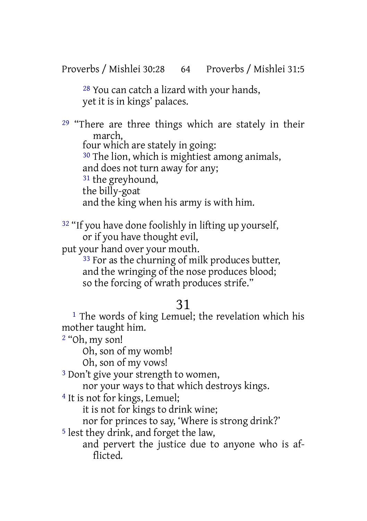Proverbs / Mishlei 30:28 64 Proverbs / Mishlei 31:5

28 You can catch a lizard with your hands, yet it is in kings' palaces.

<sup>29</sup> "There are three things which are stately in their march, four which are stately in going: 30 The lion, which is mightiest among animals, and does not turn away for any; <sup>31</sup> the greyhound, the billy-goat and the king when his army is with him.

32 "If you have done foolishly in lifting up yourself, or if you have thought evil,

put your hand over your mouth.

<sup>33</sup> For as the churning of milk produces butter, and the wringing of the nose produces blood; so the forcing of wrath produces strife."

#### 31

<sup>1</sup> The words of king Lemuel; the revelation which his mother taught him.

2 "Oh, my son!

Oh, son of my womb!

Oh, son of my vows!

<sup>3</sup> Don't give your strength to women,

nor your ways to that which destroys kings.

4 It is not for kings, Lemuel;

it is not for kings to drink wine;

nor for princes to say, 'Where is strong drink?'

5 lest they drink, and forget the law,

and pervert the justice due to anyone who is afflicted.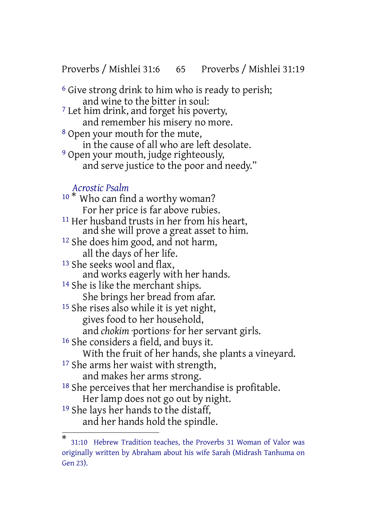Proverbs / Mishlei 31:6 65 Proverbs / Mishlei 31:19

<sup>6</sup> Give strong drink to him who is ready to perish; and wine to the bitter in soul: <sup>7</sup> Let him drink, and forget his poverty, and remember his misery no more. 8 Open your mouth for the mute, in the cause of all who are left desolate. 9 Open your mouth, judge righteously, and serve justice to the poor and needy."

#### *Acrostic Psalm*

<sup>10</sup> \* Who can find a worthy woman? For her price is far above rubies. 11 Her husband trusts in her from his heart, and she will prove a great asset to him. 12 She does him good, and not harm, all the days of her life. 13 She seeks wool and flax, and works eagerly with her hands. 14 She is like the merchant ships. She brings her bread from afar. <sup>15</sup> She rises also while it is yet night, gives food to her household, and *chokim* ·portions· for her servant girls. 16 She considers a field, and buys it. With the fruit of her hands, she plants a vineyard. 17 She arms her waist with strength, and makes her arms strong. 18 She perceives that her merchandise is profitable. Her lamp does not go out by night. 19 She lays her hands to the distaff, and her hands hold the spindle.

<sup>\*</sup> 31:10 Hebrew Tradition teaches, the Proverbs 31 Woman of Valor was originally written by Abraham about his wife Sarah (Midrash Tanhuma on Gen 23).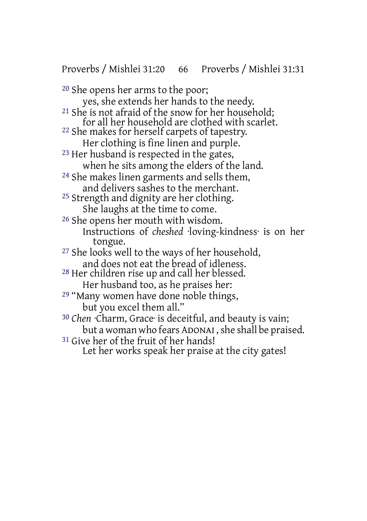Proverbs / Mishlei 31:20 66 Proverbs / Mishlei 31:31

20 She opens her arms to the poor; yes, she extends her hands to the needy. 21 She is not afraid of the snow for her household; for all her household are clothed with scarlet. 22 She makes for herself carpets of tapestry. Her clothing is fine linen and purple. 23 Her husband is respected in the gates, when he sits among the elders of the land. 24 She makes linen garments and sells them, and delivers sashes to the merchant. <sup>25</sup> Strength and dignity are her clothing. She laughs at the time to come. 26 She opens her mouth with wisdom. Instructions of *cheshed* ·loving-kindness· is on her tongue. 27 She looks well to the ways of her household, and does not eat the bread of idleness. 28 Her children rise up and call her blessed. Her husband too, as he praises her: <sup>29</sup> "Many women have done noble things, but you excel them all." 30 *Chen* ·Charm, Grace· is deceitful, and beauty is vain; but a woman who fears ADONAI, she shall be praised. <sup>31</sup> Give her of the fruit of her hands! Let her works speak her praise at the city gates!